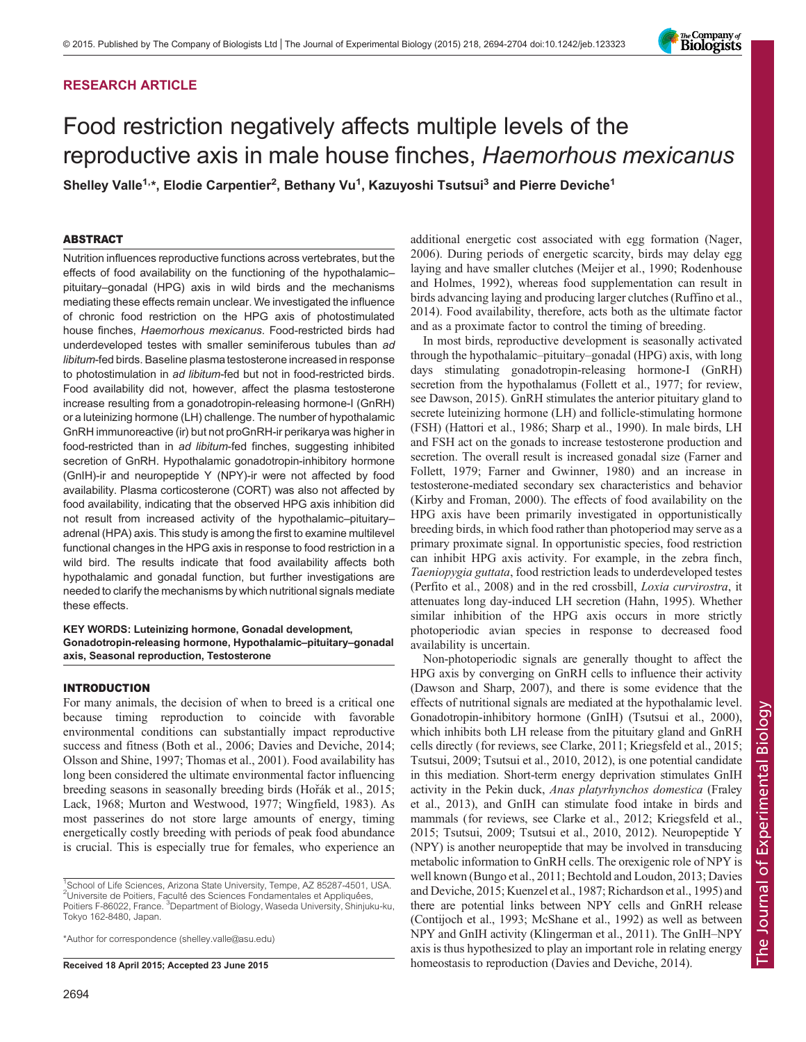# RESEARCH ARTICLE

# Food restriction negatively affects multiple levels of the reproductive axis in male house finches, Haemorhous mexicanus

Shelley Valle<sup>1,\*</sup>, Elodie Carpentier<sup>2</sup>, Bethany Vu<sup>1</sup>, Kazuyoshi Tsutsui<sup>3</sup> and Pierre Deviche<sup>1</sup>

# ABSTRACT

Nutrition influences reproductive functions across vertebrates, but the effects of food availability on the functioning of the hypothalamic– pituitary–gonadal (HPG) axis in wild birds and the mechanisms mediating these effects remain unclear. We investigated the influence of chronic food restriction on the HPG axis of photostimulated house finches, Haemorhous mexicanus. Food-restricted birds had underdeveloped testes with smaller seminiferous tubules than ad libitum-fed birds. Baseline plasma testosterone increased in response to photostimulation in ad libitum-fed but not in food-restricted birds. Food availability did not, however, affect the plasma testosterone increase resulting from a gonadotropin-releasing hormone-I (GnRH) or a luteinizing hormone (LH) challenge. The number of hypothalamic GnRH immunoreactive (ir) but not proGnRH-ir perikarya was higher in food-restricted than in ad libitum-fed finches, suggesting inhibited secretion of GnRH. Hypothalamic gonadotropin-inhibitory hormone (GnIH)-ir and neuropeptide Y (NPY)-ir were not affected by food availability. Plasma corticosterone (CORT) was also not affected by food availability, indicating that the observed HPG axis inhibition did not result from increased activity of the hypothalamic–pituitary– adrenal (HPA) axis. This study is among the first to examine multilevel functional changes in the HPG axis in response to food restriction in a wild bird. The results indicate that food availability affects both hypothalamic and gonadal function, but further investigations are needed to clarify the mechanisms by which nutritional signals mediate these effects.

# KEY WORDS: Luteinizing hormone, Gonadal development, Gonadotropin-releasing hormone, Hypothalamic–pituitary–gonadal axis, Seasonal reproduction, Testosterone

# INTRODUCTION

For many animals, the decision of when to breed is a critical one because timing reproduction to coincide with favorable environmental conditions can substantially impact reproductive success and fitness [\(Both et al., 2006; Davies and Deviche, 2014](#page-8-0); [Olsson and Shine, 1997;](#page-9-0) [Thomas et al., 2001\)](#page-10-0). Food availability has long been considered the ultimate environmental factor influencing breeding seasons in seasonally breeding birds (Hořák et al., 2015; [Lack, 1968; Murton and Westwood, 1977;](#page-9-0) [Wingfield, 1983\)](#page-10-0). As most passerines do not store large amounts of energy, timing energetically costly breeding with periods of peak food abundance is crucial. This is especially true for females, who experience an

\*Author for correspondence [\(shelley.valle@asu.edu\)](mailto:shelley.valle@asu.edu)

additional energetic cost associated with egg formation ([Nager,](#page-9-0) [2006\)](#page-9-0). During periods of energetic scarcity, birds may delay egg laying and have smaller clutches ([Meijer et al., 1990; Rodenhouse](#page-9-0) [and Holmes, 1992](#page-9-0)), whereas food supplementation can result in birds advancing laying and producing larger clutches ([Ruffino et al.,](#page-9-0) [2014\)](#page-9-0). Food availability, therefore, acts both as the ultimate factor and as a proximate factor to control the timing of breeding.

In most birds, reproductive development is seasonally activated through the hypothalamic–pituitary–gonadal (HPG) axis, with long days stimulating gonadotropin-releasing hormone-I (GnRH) secretion from the hypothalamus ([Follett et al., 1977](#page-9-0); for review, see [Dawson, 2015\)](#page-8-0). GnRH stimulates the anterior pituitary gland to secrete luteinizing hormone (LH) and follicle-stimulating hormone (FSH) [\(Hattori et al., 1986; Sharp et al., 1990](#page-9-0)). In male birds, LH and FSH act on the gonads to increase testosterone production and secretion. The overall result is increased gonadal size [\(Farner and](#page-8-0) [Follett, 1979](#page-8-0); [Farner and Gwinner, 1980](#page-8-0)) and an increase in testosterone-mediated secondary sex characteristics and behavior [\(Kirby and Froman, 2000](#page-9-0)). The effects of food availability on the HPG axis have been primarily investigated in opportunistically breeding birds, in which food rather than photoperiod may serve as a primary proximate signal. In opportunistic species, food restriction can inhibit HPG axis activity. For example, in the zebra finch, Taeniopygia guttata, food restriction leads to underdeveloped testes [\(Perfito et al., 2008\)](#page-9-0) and in the red crossbill, Loxia curvirostra, it attenuates long day-induced LH secretion ([Hahn, 1995\)](#page-9-0). Whether similar inhibition of the HPG axis occurs in more strictly photoperiodic avian species in response to decreased food availability is uncertain.

Non-photoperiodic signals are generally thought to affect the HPG axis by converging on GnRH cells to influence their activity [\(Dawson and Sharp, 2007](#page-8-0)), and there is some evidence that the effects of nutritional signals are mediated at the hypothalamic level. Gonadotropin-inhibitory hormone (GnIH) ([Tsutsui et al., 2000\)](#page-10-0), which inhibits both LH release from the pituitary gland and GnRH cells directly (for reviews, see [Clarke, 2011;](#page-8-0) [Kriegsfeld et al., 2015](#page-9-0); [Tsutsui, 2009; Tsutsui et al., 2010, 2012](#page-10-0)), is one potential candidate in this mediation. Short-term energy deprivation stimulates GnIH activity in the Pekin duck, Anas platyrhynchos domestica ([Fraley](#page-9-0) [et al., 2013\)](#page-9-0), and GnIH can stimulate food intake in birds and mammals (for reviews, see [Clarke et al., 2012](#page-8-0); [Kriegsfeld et al.,](#page-9-0) [2015;](#page-9-0) [Tsutsui, 2009; Tsutsui et al., 2010, 2012](#page-10-0)). Neuropeptide Y (NPY) is another neuropeptide that may be involved in transducing metabolic information to GnRH cells. The orexigenic role of NPY is well known ([Bungo et al., 2011; Bechtold and Loudon, 2013](#page-8-0); [Davies](#page-8-0) and [Deviche, 2015;](#page-8-0) [Kuenzel et al., 1987; Richardson et al., 1995\)](#page-9-0) and there are potential links between NPY cells and GnRH release [\(Contijoch et al., 1993](#page-8-0); [McShane et al., 1992\)](#page-9-0) as well as between NPY and GnIH activity ([Klingerman et al., 2011](#page-9-0)). The GnIH–NPY axis is thus hypothesized to play an important role in relating energy Received 18 April 2015; Accepted 23 June 2015 homeostasis to reproduction [\(Davies and Deviche, 2014\)](#page-8-0).



<sup>&</sup>lt;sup>1</sup>School of Life Sciences, Arizona State University, Tempe, AZ 85287-4501, USA. <sup>2</sup>Universite de Poitiers, Faculté des Sciences Fondamentales et Appliquées, Poitiers F-86022, France. <sup>3</sup>Department of Biology, Waseda University, Shinjuku-ku, Tokyo 162-8480, Japan.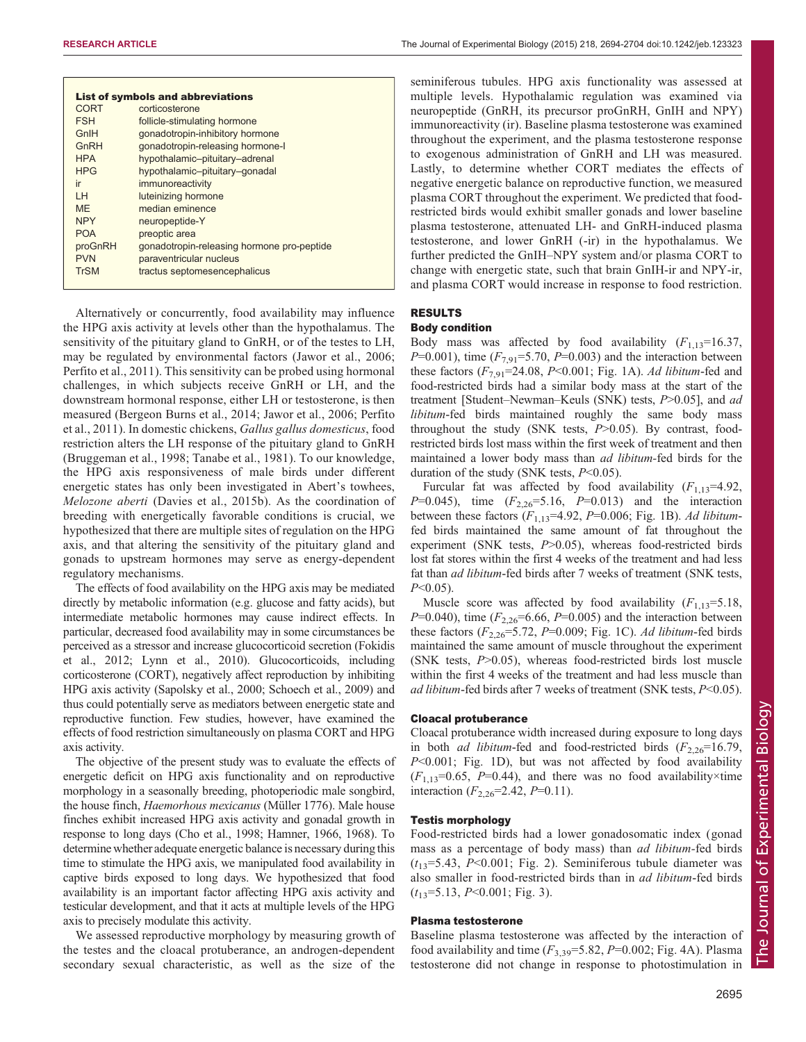| <b>List of symbols and abbreviations</b> |                                            |  |  |  |  |  |
|------------------------------------------|--------------------------------------------|--|--|--|--|--|
| <b>CORT</b>                              | corticosterone                             |  |  |  |  |  |
| <b>FSH</b>                               | follicle-stimulating hormone               |  |  |  |  |  |
| GnIH                                     | gonadotropin-inhibitory hormone            |  |  |  |  |  |
| GnRH                                     | gonadotropin-releasing hormone-I           |  |  |  |  |  |
| <b>HPA</b>                               | hypothalamic-pituitary-adrenal             |  |  |  |  |  |
| <b>HPG</b>                               | hypothalamic-pituitary-gonadal             |  |  |  |  |  |
| ir                                       | immunoreactivity                           |  |  |  |  |  |
| IН                                       | luteinizing hormone                        |  |  |  |  |  |
| <b>MF</b>                                | median eminence                            |  |  |  |  |  |
| <b>NPY</b>                               | neuropeptide-Y                             |  |  |  |  |  |
| <b>POA</b>                               | preoptic area                              |  |  |  |  |  |
| proGnRH                                  | gonadotropin-releasing hormone pro-peptide |  |  |  |  |  |
| <b>PVN</b>                               | paraventricular nucleus                    |  |  |  |  |  |
| <b>TrSM</b>                              | tractus septomesencephalicus               |  |  |  |  |  |

Alternatively or concurrently, food availability may influence the HPG axis activity at levels other than the hypothalamus. The sensitivity of the pituitary gland to GnRH, or of the testes to LH, may be regulated by environmental factors [\(Jawor et al., 2006](#page-9-0); [Perfito et al., 2011\)](#page-9-0). This sensitivity can be probed using hormonal challenges, in which subjects receive GnRH or LH, and the downstream hormonal response, either LH or testosterone, is then measured [\(Bergeon Burns et al., 2014;](#page-8-0) [Jawor et al., 2006; Perfito](#page-9-0) [et al., 2011](#page-9-0)). In domestic chickens, Gallus gallus domesticus, food restriction alters the LH response of the pituitary gland to GnRH [\(Bruggeman et al., 1998](#page-8-0); [Tanabe et al., 1981\)](#page-9-0). To our knowledge, the HPG axis responsiveness of male birds under different energetic states has only been investigated in Abert's towhees, Melozone aberti ([Davies et al., 2015b](#page-8-0)). As the coordination of breeding with energetically favorable conditions is crucial, we hypothesized that there are multiple sites of regulation on the HPG axis, and that altering the sensitivity of the pituitary gland and gonads to upstream hormones may serve as energy-dependent regulatory mechanisms.

The effects of food availability on the HPG axis may be mediated directly by metabolic information (e.g. glucose and fatty acids), but intermediate metabolic hormones may cause indirect effects. In particular, decreased food availability may in some circumstances be perceived as a stressor and increase glucocorticoid secretion [\(Fokidis](#page-8-0) [et al., 2012](#page-8-0); [Lynn et al., 2010\)](#page-9-0). Glucocorticoids, including corticosterone (CORT), negatively affect reproduction by inhibiting HPG axis activity [\(Sapolsky et al., 2000; Schoech et al., 2009\)](#page-9-0) and thus could potentially serve as mediators between energetic state and reproductive function. Few studies, however, have examined the effects of food restriction simultaneously on plasma CORT and HPG axis activity.

The objective of the present study was to evaluate the effects of energetic deficit on HPG axis functionality and on reproductive morphology in a seasonally breeding, photoperiodic male songbird, the house finch, Haemorhous mexicanus (Müller 1776). Male house finches exhibit increased HPG axis activity and gonadal growth in response to long days [\(Cho et al., 1998;](#page-8-0) [Hamner, 1966](#page-9-0), [1968](#page-9-0)). To determine whether adequate energetic balance is necessary during this time to stimulate the HPG axis, we manipulated food availability in captive birds exposed to long days. We hypothesized that food availability is an important factor affecting HPG axis activity and testicular development, and that it acts at multiple levels of the HPG axis to precisely modulate this activity.

We assessed reproductive morphology by measuring growth of the testes and the cloacal protuberance, an androgen-dependent secondary sexual characteristic, as well as the size of the

seminiferous tubules. HPG axis functionality was assessed at multiple levels. Hypothalamic regulation was examined via neuropeptide (GnRH, its precursor proGnRH, GnIH and NPY) immunoreactivity (ir). Baseline plasma testosterone was examined throughout the experiment, and the plasma testosterone response to exogenous administration of GnRH and LH was measured. Lastly, to determine whether CORT mediates the effects of negative energetic balance on reproductive function, we measured plasma CORT throughout the experiment. We predicted that foodrestricted birds would exhibit smaller gonads and lower baseline plasma testosterone, attenuated LH- and GnRH-induced plasma testosterone, and lower GnRH (-ir) in the hypothalamus. We further predicted the GnIH–NPY system and/or plasma CORT to change with energetic state, such that brain GnIH-ir and NPY-ir, and plasma CORT would increase in response to food restriction.

# RESULTS

# Body condition

Body mass was affected by food availability  $(F_{1,13}=16.37)$ ,  $P=0.001$ ), time  $(F_{7,91}=5.70, P=0.003)$  and the interaction between these factors  $(F_{7,91} = 24.08, P \le 0.001$ ; [Fig. 1A](#page-2-0)). Ad libitum-fed and food-restricted birds had a similar body mass at the start of the treatment [Student–Newman–Keuls (SNK) tests,  $P > 0.05$ ], and ad libitum-fed birds maintained roughly the same body mass throughout the study (SNK tests,  $P > 0.05$ ). By contrast, foodrestricted birds lost mass within the first week of treatment and then maintained a lower body mass than ad libitum-fed birds for the duration of the study (SNK tests,  $P<0.05$ ).

Furcular fat was affected by food availability  $(F_{1,13}=4.92)$ ,  $P=0.045$ ), time  $(F_{2,26}=5.16, P=0.013)$  and the interaction between these factors  $(F_{1,13}=4.92, P=0.006;$  [Fig. 1](#page-2-0)B). Ad libitumfed birds maintained the same amount of fat throughout the experiment (SNK tests,  $P > 0.05$ ), whereas food-restricted birds lost fat stores within the first 4 weeks of the treatment and had less fat than *ad libitum*-fed birds after 7 weeks of treatment (SNK tests,  $P<0.05$ ).

Muscle score was affected by food availability  $(F_{1,13}=5.18,$  $P=0.040$ , time ( $F_{2,26}=6.66$ ,  $P=0.005$ ) and the interaction between these factors  $(F_{2,26}=5.72, P=0.009;$  [Fig. 1](#page-2-0)C). Ad libitum-fed birds maintained the same amount of muscle throughout the experiment (SNK tests,  $P > 0.05$ ), whereas food-restricted birds lost muscle within the first 4 weeks of the treatment and had less muscle than ad libitum-fed birds after 7 weeks of treatment (SNK tests, P<0.05).

#### Cloacal protuberance

Cloacal protuberance width increased during exposure to long days in both *ad libitum*-fed and food-restricted birds  $(F_{2,26}=16.79)$ , P<0.001; [Fig. 1](#page-2-0)D), but was not affected by food availability  $(F_{1,13}=0.65, P=0.44)$ , and there was no food availability×time interaction  $(F_{2,26}=2.42, P=0.11)$ .

# Testis morphology

Food-restricted birds had a lower gonadosomatic index (gonad mass as a percentage of body mass) than *ad libitum*-fed birds  $(t_{13}=5.43, P<0.001;$  [Fig. 2\)](#page-2-0). Seminiferous tubule diameter was also smaller in food-restricted birds than in ad libitum-fed birds  $(t_{13}=5.13, P<0.001;$  [Fig. 3](#page-2-0)).

# Plasma testosterone

Baseline plasma testosterone was affected by the interaction of food availability and time  $(F_{3,39}=5.82, P=0.002;$  [Fig. 4A](#page-3-0)). Plasma testosterone did not change in response to photostimulation in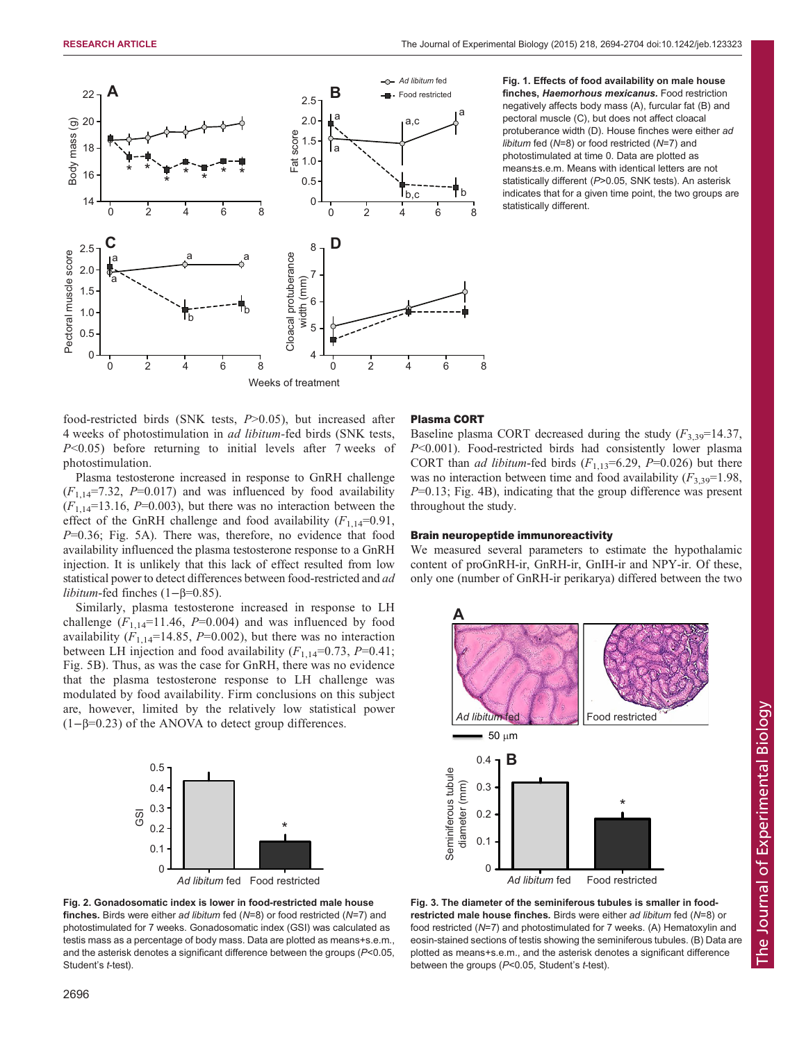<span id="page-2-0"></span>

Fig. 1. Effects of food availability on male house finches, Haemorhous mexicanus. Food restriction negatively affects body mass (A), furcular fat (B) and pectoral muscle (C), but does not affect cloacal protuberance width (D). House finches were either ad libitum fed (N=8) or food restricted (N=7) and photostimulated at time 0. Data are plotted as means±s.e.m. Means with identical letters are not statistically different (P>0.05, SNK tests). An asterisk indicates that for a given time point, the two groups are statistically different.

food-restricted birds (SNK tests, P>0.05), but increased after 4 weeks of photostimulation in ad libitum-fed birds (SNK tests, P<0.05) before returning to initial levels after 7 weeks of photostimulation.

Plasma testosterone increased in response to GnRH challenge  $(F_{1,14}=7.32, P=0.017)$  and was influenced by food availability  $(F<sub>1,14</sub>=13.16, P=0.003)$ , but there was no interaction between the effect of the GnRH challenge and food availability  $(F_{1,14}=0.91,$ P=0.36; [Fig. 5](#page-3-0)A). There was, therefore, no evidence that food availability influenced the plasma testosterone response to a GnRH injection. It is unlikely that this lack of effect resulted from low statistical power to detect differences between food-restricted and ad libitum-fed finches (1−β=0.85).

Similarly, plasma testosterone increased in response to LH challenge  $(F_{1,14}=11.46, P=0.004)$  and was influenced by food availability  $(F_{1,14}=14.85, P=0.002)$ , but there was no interaction between LH injection and food availability  $(F_{1,14}=0.73, P=0.41;$ [Fig. 5B](#page-3-0)). Thus, as was the case for GnRH, there was no evidence that the plasma testosterone response to LH challenge was modulated by food availability. Firm conclusions on this subject are, however, limited by the relatively low statistical power (1−β=0.23) of the ANOVA to detect group differences.



#### Fig. 2. Gonadosomatic index is lower in food-restricted male house **finches.** Birds were either ad libitum fed  $(N=8)$  or food restricted  $(N=7)$  and photostimulated for 7 weeks. Gonadosomatic index (GSI) was calculated as testis mass as a percentage of body mass. Data are plotted as means+s.e.m., and the asterisk denotes a significant difference between the groups (P<0.05, Student's *t*-test).

### Plasma CORT

Baseline plasma CORT decreased during the study  $(F_{3,39}=14.37,$ P<0.001). Food-restricted birds had consistently lower plasma CORT than *ad libitum*-fed birds  $(F_{1,13}=6.29, P=0.026)$  but there was no interaction between time and food availability  $(F_{3,39}=1.98,$  $P=0.13$ ; [Fig. 4B](#page-3-0)), indicating that the group difference was present throughout the study.

## Brain neuropeptide immunoreactivity

We measured several parameters to estimate the hypothalamic content of proGnRH-ir, GnRH-ir, GnIH-ir and NPY-ir. Of these, only one (number of GnRH-ir perikarya) differed between the two



Fig. 3. The diameter of the seminiferous tubules is smaller in foodrestricted male house finches. Birds were either ad libitum fed  $(N=8)$  or food restricted (N=7) and photostimulated for 7 weeks. (A) Hematoxylin and eosin-stained sections of testis showing the seminiferous tubules. (B) Data are plotted as means+s.e.m., and the asterisk denotes a significant difference between the groups (P<0.05, Student's t-test).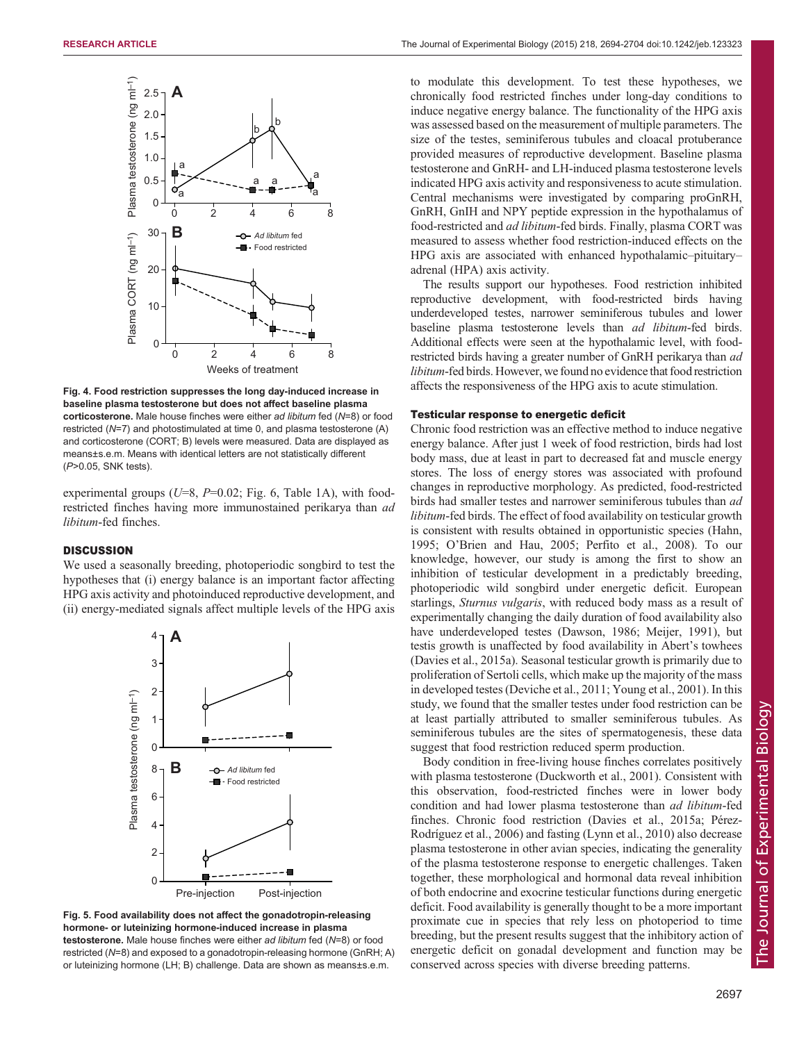<span id="page-3-0"></span>

Fig. 4. Food restriction suppresses the long day-induced increase in baseline plasma testosterone but does not affect baseline plasma corticosterone. Male house finches were either ad libitum fed (N=8) or food restricted (N=7) and photostimulated at time 0, and plasma testosterone (A) and corticosterone (CORT; B) levels were measured. Data are displayed as means±s.e.m. Means with identical letters are not statistically different (P>0.05, SNK tests).

experimental groups ( $U=8$ ,  $P=0.02$ ; [Fig. 6](#page-4-0), [Table 1](#page-5-0)A), with foodrestricted finches having more immunostained perikarya than *ad* libitum-fed finches.

# **DISCUSSION**

We used a seasonally breeding, photoperiodic songbird to test the hypotheses that (i) energy balance is an important factor affecting HPG axis activity and photoinduced reproductive development, and (ii) energy-mediated signals affect multiple levels of the HPG axis



Fig. 5. Food availability does not affect the gonadotropin-releasing hormone- or luteinizing hormone-induced increase in plasma testosterone. Male house finches were either ad libitum fed (N=8) or food restricted (N=8) and exposed to a gonadotropin-releasing hormone (GnRH; A) or luteinizing hormone (LH; B) challenge. Data are shown as means±s.e.m.

to modulate this development. To test these hypotheses, we chronically food restricted finches under long-day conditions to induce negative energy balance. The functionality of the HPG axis was assessed based on the measurement of multiple parameters. The size of the testes, seminiferous tubules and cloacal protuberance provided measures of reproductive development. Baseline plasma testosterone and GnRH- and LH-induced plasma testosterone levels indicated HPG axis activity and responsiveness to acute stimulation. Central mechanisms were investigated by comparing proGnRH, GnRH, GnIH and NPY peptide expression in the hypothalamus of food-restricted and ad libitum-fed birds. Finally, plasma CORT was measured to assess whether food restriction-induced effects on the HPG axis are associated with enhanced hypothalamic–pituitary– adrenal (HPA) axis activity.

The results support our hypotheses. Food restriction inhibited reproductive development, with food-restricted birds having underdeveloped testes, narrower seminiferous tubules and lower baseline plasma testosterone levels than ad libitum-fed birds. Additional effects were seen at the hypothalamic level, with foodrestricted birds having a greater number of GnRH perikarya than *ad* libitum-fed birds. However, we found no evidence that food restriction affects the responsiveness of the HPG axis to acute stimulation.

## Testicular response to energetic deficit

Chronic food restriction was an effective method to induce negative energy balance. After just 1 week of food restriction, birds had lost body mass, due at least in part to decreased fat and muscle energy stores. The loss of energy stores was associated with profound changes in reproductive morphology. As predicted, food-restricted birds had smaller testes and narrower seminiferous tubules than ad libitum-fed birds. The effect of food availability on testicular growth is consistent with results obtained in opportunistic species [\(Hahn,](#page-9-0) [1995;](#page-9-0) O'[Brien and Hau, 2005](#page-9-0); [Perfito et al., 2008\)](#page-9-0). To our knowledge, however, our study is among the first to show an inhibition of testicular development in a predictably breeding, photoperiodic wild songbird under energetic deficit. European starlings, *Sturnus vulgaris*, with reduced body mass as a result of experimentally changing the daily duration of food availability also have underdeveloped testes [\(Dawson, 1986;](#page-8-0) [Meijer, 1991\)](#page-9-0), but testis growth is unaffected by food availability in Abert's towhees [\(Davies et al., 2015](#page-8-0)a). Seasonal testicular growth is primarily due to proliferation of Sertoli cells, which make up the majority of the mass in developed testes ([Deviche et al., 2011;](#page-8-0) [Young et al., 2001\)](#page-10-0). In this study, we found that the smaller testes under food restriction can be at least partially attributed to smaller seminiferous tubules. As seminiferous tubules are the sites of spermatogenesis, these data suggest that food restriction reduced sperm production.

Body condition in free-living house finches correlates positively with plasma testosterone [\(Duckworth et al., 2001](#page-8-0)). Consistent with this observation, food-restricted finches were in lower body condition and had lower plasma testosterone than *ad libitum*-fed finches. Chronic food restriction [\(Davies et al., 2015](#page-8-0)a; [Pérez-](#page-9-0)[Rodríguez et al., 2006\)](#page-9-0) and fasting [\(Lynn et al., 2010](#page-9-0)) also decrease plasma testosterone in other avian species, indicating the generality of the plasma testosterone response to energetic challenges. Taken together, these morphological and hormonal data reveal inhibition of both endocrine and exocrine testicular functions during energetic deficit. Food availability is generally thought to be a more important proximate cue in species that rely less on photoperiod to time breeding, but the present results suggest that the inhibitory action of energetic deficit on gonadal development and function may be conserved across species with diverse breeding patterns.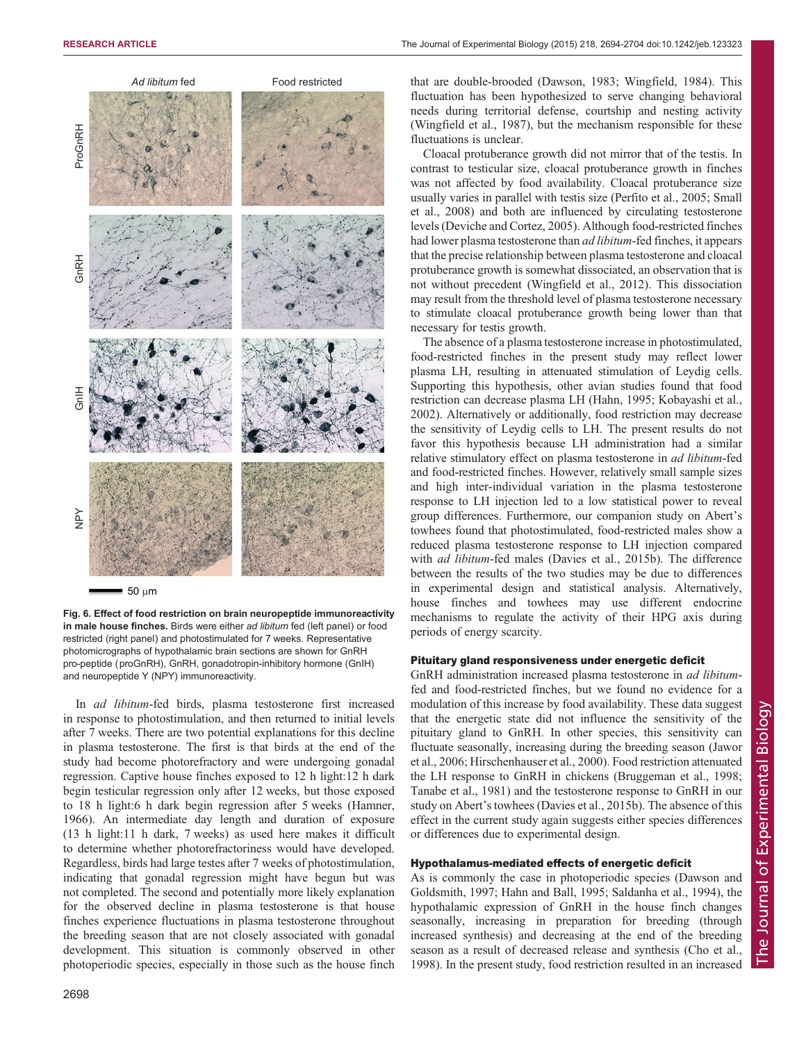<span id="page-4-0"></span>

 $=$  50  $\mu$ m

Fig. 6. Effect of food restriction on brain neuropeptide immunoreactivity in male house finches. Birds were either ad libitum fed (left panel) or food restricted (right panel) and photostimulated for 7 weeks. Representative photomicrographs of hypothalamic brain sections are shown for GnRH pro-peptide (proGnRH), GnRH, gonadotropin-inhibitory hormone (GnIH) and neuropeptide Y (NPY) immunoreactivity.

In ad libitum-fed birds, plasma testosterone first increased in response to photostimulation, and then returned to initial levels after 7 weeks. There are two potential explanations for this decline in plasma testosterone. The first is that birds at the end of the study had become photorefractory and were undergoing gonadal regression. Captive house finches exposed to 12 h light:12 h dark begin testicular regression only after 12 weeks, but those exposed to 18 h light:6 h dark begin regression after 5 weeks [\(Hamner,](#page-9-0) [1966](#page-9-0)). An intermediate day length and duration of exposure (13 h light:11 h dark, 7 weeks) as used here makes it difficult to determine whether photorefractoriness would have developed. Regardless, birds had large testes after 7 weeks of photostimulation, indicating that gonadal regression might have begun but was not completed. The second and potentially more likely explanation for the observed decline in plasma testosterone is that house finches experience fluctuations in plasma testosterone throughout the breeding season that are not closely associated with gonadal development. This situation is commonly observed in other photoperiodic species, especially in those such as the house finch

that are double-brooded ([Dawson, 1983;](#page-8-0) [Wingfield, 1984\)](#page-10-0). This fluctuation has been hypothesized to serve changing behavioral needs during territorial defense, courtship and nesting activity [\(Wingfield et al., 1987\)](#page-10-0), but the mechanism responsible for these fluctuations is unclear.

Cloacal protuberance growth did not mirror that of the testis. In contrast to testicular size, cloacal protuberance growth in finches was not affected by food availability. Cloacal protuberance size usually varies in parallel with testis size [\(Perfito et al., 2005](#page-9-0); [Small](#page-9-0) [et al., 2008](#page-9-0)) and both are influenced by circulating testosterone levels ([Deviche and Cortez, 2005](#page-8-0)). Although food-restricted finches had lower plasma testosterone than ad libitum-fed finches, it appears that the precise relationship between plasma testosterone and cloacal protuberance growth is somewhat dissociated, an observation that is not without precedent ([Wingfield et al., 2012\)](#page-10-0). This dissociation may result from the threshold level of plasma testosterone necessary to stimulate cloacal protuberance growth being lower than that necessary for testis growth.

The absence of a plasma testosterone increase in photostimulated, food-restricted finches in the present study may reflect lower plasma LH, resulting in attenuated stimulation of Leydig cells. Supporting this hypothesis, other avian studies found that food restriction can decrease plasma LH [\(Hahn, 1995](#page-9-0); [Kobayashi et al.,](#page-9-0) [2002\)](#page-9-0). Alternatively or additionally, food restriction may decrease the sensitivity of Leydig cells to LH. The present results do not favor this hypothesis because LH administration had a similar relative stimulatory effect on plasma testosterone in ad libitum-fed and food-restricted finches. However, relatively small sample sizes and high inter-individual variation in the plasma testosterone response to LH injection led to a low statistical power to reveal group differences. Furthermore, our companion study on Abert's towhees found that photostimulated, food-restricted males show a reduced plasma testosterone response to LH injection compared with *ad libitum-fed males* ([Davies et al., 2015b](#page-8-0)). The difference between the results of the two studies may be due to differences in experimental design and statistical analysis. Alternatively, house finches and towhees may use different endocrine mechanisms to regulate the activity of their HPG axis during periods of energy scarcity.

# Pituitary gland responsiveness under energetic deficit

GnRH administration increased plasma testosterone in ad libitumfed and food-restricted finches, but we found no evidence for a modulation of this increase by food availability. These data suggest that the energetic state did not influence the sensitivity of the pituitary gland to GnRH. In other species, this sensitivity can fluctuate seasonally, increasing during the breeding season ([Jawor](#page-9-0) [et al., 2006; Hirschenhauser et al., 2000](#page-9-0)). Food restriction attenuated the LH response to GnRH in chickens [\(Bruggeman et al., 1998](#page-8-0); [Tanabe et al., 1981\)](#page-9-0) and the testosterone response to GnRH in our study on Abert's towhees [\(Davies et al., 2015](#page-8-0)b). The absence of this effect in the current study again suggests either species differences or differences due to experimental design.

# Hypothalamus-mediated effects of energetic deficit

As is commonly the case in photoperiodic species ([Dawson and](#page-8-0) [Goldsmith, 1997;](#page-8-0) [Hahn and Ball, 1995; Saldanha et al., 1994](#page-9-0)), the hypothalamic expression of GnRH in the house finch changes seasonally, increasing in preparation for breeding (through increased synthesis) and decreasing at the end of the breeding season as a result of decreased release and synthesis ([Cho et al.,](#page-8-0) [1998\)](#page-8-0). In the present study, food restriction resulted in an increased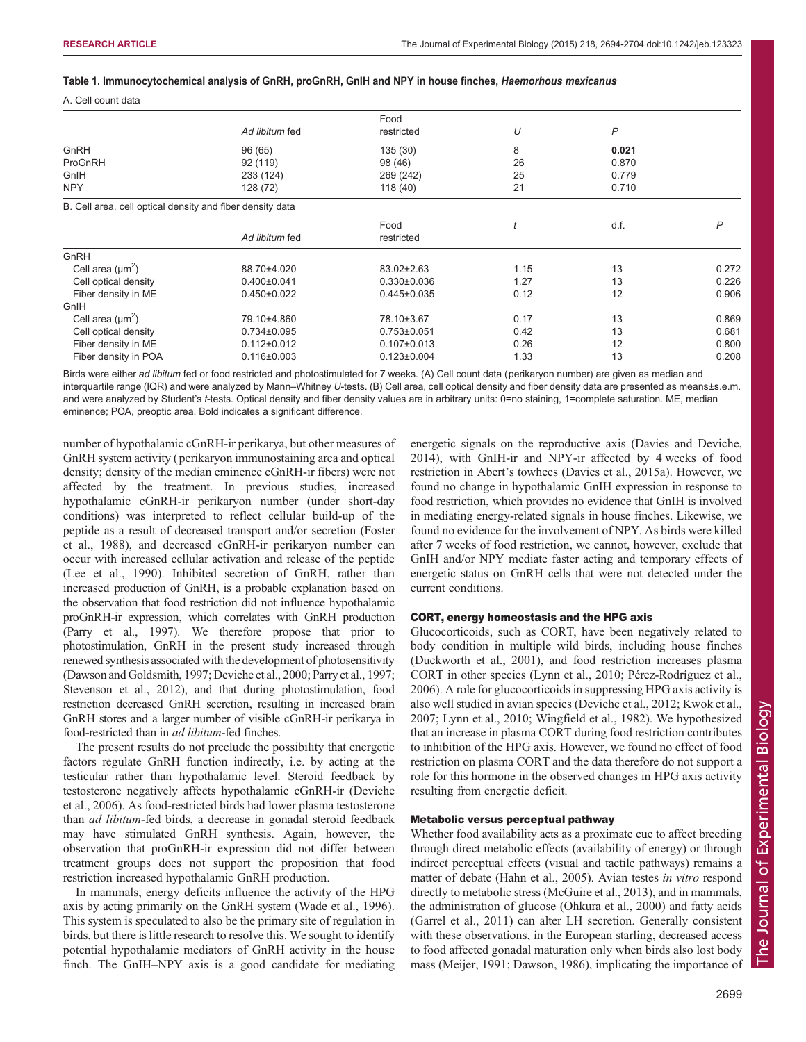#### <span id="page-5-0"></span>Table 1. Immunocytochemical analysis of GnRH, proGnRH, GnIH and NPY in house finches, Haemorhous mexicanus

| A. Cell count data                                        |                   |                   |      |       |       |  |  |
|-----------------------------------------------------------|-------------------|-------------------|------|-------|-------|--|--|
|                                                           |                   | Food              |      |       |       |  |  |
|                                                           | Ad libitum fed    | restricted        | U    | P     |       |  |  |
| GnRH                                                      | 96 (65)           | 135 (30)          | 8    | 0.021 |       |  |  |
| ProGnRH                                                   | 92 (119)          | 98 (46)           | 26   | 0.870 |       |  |  |
| GnIH                                                      | 233 (124)         | 269 (242)         | 25   | 0.779 |       |  |  |
| <b>NPY</b>                                                | 128 (72)          | 118 (40)          | 21   | 0.710 |       |  |  |
| B. Cell area, cell optical density and fiber density data |                   |                   |      |       |       |  |  |
|                                                           |                   | Food              |      | d.f.  | P     |  |  |
|                                                           | Ad libitum fed    | restricted        |      |       |       |  |  |
| GnRH                                                      |                   |                   |      |       |       |  |  |
| Cell area $(\mu m^2)$                                     | 88.70±4.020       | 83.02±2.63        | 1.15 | 13    | 0.272 |  |  |
| Cell optical density                                      | $0.400 \pm 0.041$ | $0.330 \pm 0.036$ | 1.27 | 13    | 0.226 |  |  |
| Fiber density in ME                                       | $0.450 \pm 0.022$ | $0.445 \pm 0.035$ | 0.12 | 12    | 0.906 |  |  |
| GnIH                                                      |                   |                   |      |       |       |  |  |
| Cell area $(\mu m^2)$                                     | 79.10±4.860       | 78.10±3.67        | 0.17 | 13    | 0.869 |  |  |
| Cell optical density                                      | $0.734\pm0.095$   | $0.753 \pm 0.051$ | 0.42 | 13    | 0.681 |  |  |
| Fiber density in ME                                       | $0.112 \pm 0.012$ | $0.107 \pm 0.013$ | 0.26 | 12    | 0.800 |  |  |
| Fiber density in POA                                      | $0.116 \pm 0.003$ | $0.123 \pm 0.004$ | 1.33 | 13    | 0.208 |  |  |

Birds were either ad libitum fed or food restricted and photostimulated for 7 weeks. (A) Cell count data (perikaryon number) are given as median and interquartile range (IQR) and were analyzed by Mann–Whitney U-tests. (B) Cell area, cell optical density and fiber density data are presented as means±s.e.m. and were analyzed by Student's t-tests. Optical density and fiber density values are in arbitrary units: 0=no staining, 1=complete saturation. ME, median eminence; POA, preoptic area. Bold indicates a significant difference.

number of hypothalamic cGnRH-ir perikarya, but other measures of GnRH system activity ( perikaryon immunostaining area and optical density; density of the median eminence cGnRH-ir fibers) were not affected by the treatment. In previous studies, increased hypothalamic cGnRH-ir perikaryon number (under short-day conditions) was interpreted to reflect cellular build-up of the peptide as a result of decreased transport and/or secretion ([Foster](#page-9-0) [et al., 1988\)](#page-9-0), and decreased cGnRH-ir perikaryon number can occur with increased cellular activation and release of the peptide [\(Lee et al., 1990\)](#page-9-0). Inhibited secretion of GnRH, rather than increased production of GnRH, is a probable explanation based on the observation that food restriction did not influence hypothalamic proGnRH-ir expression, which correlates with GnRH production [\(Parry et al., 1997\)](#page-9-0). We therefore propose that prior to photostimulation, GnRH in the present study increased through renewed synthesis associated with the development of photosensitivity [\(Dawson and Goldsmith, 1997](#page-8-0); [Deviche et al., 2000](#page-8-0); [Parry et al., 1997](#page-9-0); [Stevenson et al., 2012](#page-9-0)), and that during photostimulation, food restriction decreased GnRH secretion, resulting in increased brain GnRH stores and a larger number of visible cGnRH-ir perikarya in food-restricted than in ad libitum-fed finches.

The present results do not preclude the possibility that energetic factors regulate GnRH function indirectly, i.e. by acting at the testicular rather than hypothalamic level. Steroid feedback by testosterone negatively affects hypothalamic cGnRH-ir ([Deviche](#page-8-0) [et al., 2006\)](#page-8-0). As food-restricted birds had lower plasma testosterone than ad libitum-fed birds, a decrease in gonadal steroid feedback may have stimulated GnRH synthesis. Again, however, the observation that proGnRH-ir expression did not differ between treatment groups does not support the proposition that food restriction increased hypothalamic GnRH production.

In mammals, energy deficits influence the activity of the HPG axis by acting primarily on the GnRH system [\(Wade et al., 1996\)](#page-10-0). This system is speculated to also be the primary site of regulation in birds, but there is little research to resolve this. We sought to identify potential hypothalamic mediators of GnRH activity in the house finch. The GnIH–NPY axis is a good candidate for mediating energetic signals on the reproductive axis ([Davies and Deviche,](#page-8-0) [2014\)](#page-8-0), with GnIH-ir and NPY-ir affected by 4 weeks of food restriction in Abert's towhees ([Davies et al., 2015a](#page-8-0)). However, we found no change in hypothalamic GnIH expression in response to food restriction, which provides no evidence that GnIH is involved in mediating energy-related signals in house finches. Likewise, we found no evidence for the involvement of NPY. As birds were killed after 7 weeks of food restriction, we cannot, however, exclude that GnIH and/or NPY mediate faster acting and temporary effects of energetic status on GnRH cells that were not detected under the current conditions.

#### CORT, energy homeostasis and the HPG axis

Glucocorticoids, such as CORT, have been negatively related to body condition in multiple wild birds, including house finches [\(Duckworth et al., 2001\)](#page-8-0), and food restriction increases plasma CORT in other species ([Lynn et al., 2010; Pérez-Rodríguez et al.,](#page-9-0) [2006\)](#page-9-0). A role for glucocorticoids in suppressing HPG axis activity is also well studied in avian species ([Deviche et al., 2012](#page-8-0); [Kwok et al.,](#page-9-0) [2007; Lynn et al., 2010;](#page-9-0) [Wingfield et al., 1982\)](#page-10-0). We hypothesized that an increase in plasma CORT during food restriction contributes to inhibition of the HPG axis. However, we found no effect of food restriction on plasma CORT and the data therefore do not support a role for this hormone in the observed changes in HPG axis activity resulting from energetic deficit.

# Metabolic versus perceptual pathway

Whether food availability acts as a proximate cue to affect breeding through direct metabolic effects (availability of energy) or through indirect perceptual effects (visual and tactile pathways) remains a matter of debate (Hahn et al., 2005). Avian testes *in vitro* respond directly to metabolic stress [\(McGuire et al., 2013\)](#page-9-0), and in mammals, the administration of glucose ([Ohkura et al., 2000\)](#page-9-0) and fatty acids [\(Garrel et al., 2011\)](#page-9-0) can alter LH secretion. Generally consistent with these observations, in the European starling, decreased access to food affected gonadal maturation only when birds also lost body mass [\(Meijer, 1991](#page-9-0); [Dawson, 1986\)](#page-8-0), implicating the importance of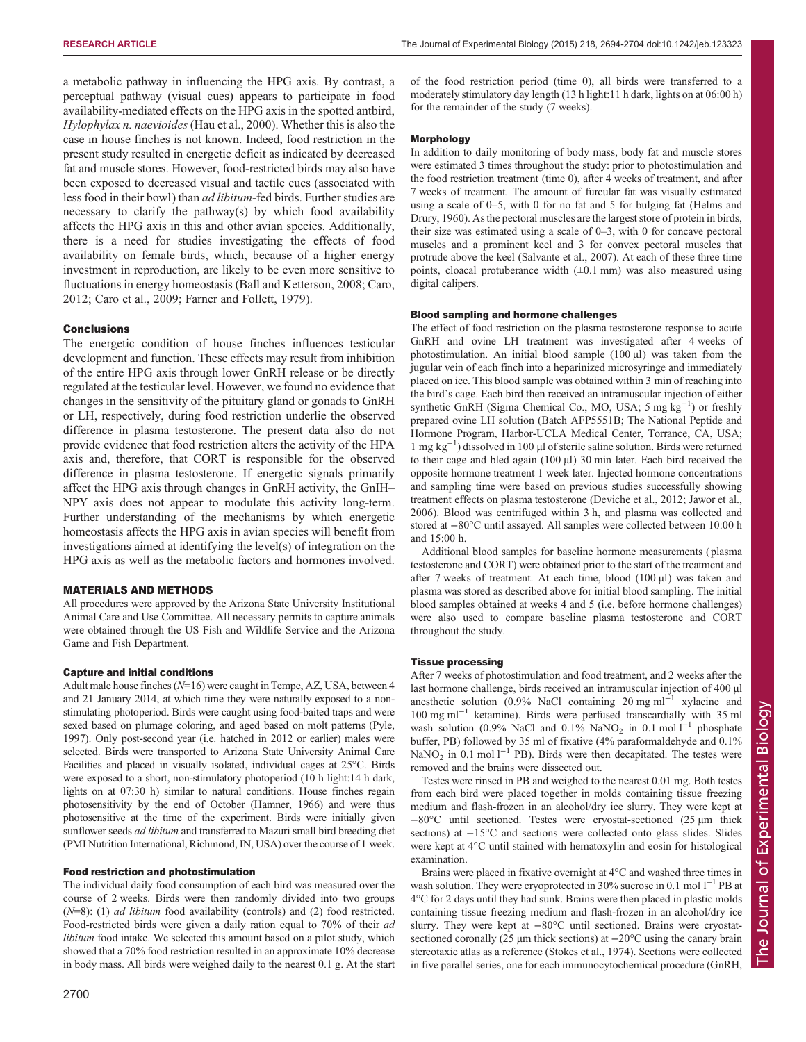a metabolic pathway in influencing the HPG axis. By contrast, a perceptual pathway (visual cues) appears to participate in food availability-mediated effects on the HPG axis in the spotted antbird, Hylophylax n. naevioides ([Hau et al., 2000](#page-9-0)). Whether this is also the case in house finches is not known. Indeed, food restriction in the present study resulted in energetic deficit as indicated by decreased fat and muscle stores. However, food-restricted birds may also have been exposed to decreased visual and tactile cues (associated with less food in their bowl) than ad libitum-fed birds. Further studies are necessary to clarify the pathway(s) by which food availability affects the HPG axis in this and other avian species. Additionally, there is a need for studies investigating the effects of food availability on female birds, which, because of a higher energy investment in reproduction, are likely to be even more sensitive to fluctuations in energy homeostasis ([Ball and Ketterson, 2008; Caro,](#page-8-0) [2012](#page-8-0); [Caro et al., 2009; Farner and Follett, 1979](#page-8-0)).

### **Conclusions**

The energetic condition of house finches influences testicular development and function. These effects may result from inhibition of the entire HPG axis through lower GnRH release or be directly regulated at the testicular level. However, we found no evidence that changes in the sensitivity of the pituitary gland or gonads to GnRH or LH, respectively, during food restriction underlie the observed difference in plasma testosterone. The present data also do not provide evidence that food restriction alters the activity of the HPA axis and, therefore, that CORT is responsible for the observed difference in plasma testosterone. If energetic signals primarily affect the HPG axis through changes in GnRH activity, the GnIH– NPY axis does not appear to modulate this activity long-term. Further understanding of the mechanisms by which energetic homeostasis affects the HPG axis in avian species will benefit from investigations aimed at identifying the level(s) of integration on the HPG axis as well as the metabolic factors and hormones involved.

# MATERIALS AND METHODS

All procedures were approved by the Arizona State University Institutional Animal Care and Use Committee. All necessary permits to capture animals were obtained through the US Fish and Wildlife Service and the Arizona Game and Fish Department.

# Capture and initial conditions

Adult male house finches  $(N=16)$  were caught in Tempe, AZ, USA, between 4 and 21 January 2014, at which time they were naturally exposed to a nonstimulating photoperiod. Birds were caught using food-baited traps and were sexed based on plumage coloring, and aged based on molt patterns [\(Pyle,](#page-9-0) [1997\)](#page-9-0). Only post-second year (i.e. hatched in 2012 or earlier) males were selected. Birds were transported to Arizona State University Animal Care Facilities and placed in visually isolated, individual cages at 25°C. Birds were exposed to a short, non-stimulatory photoperiod (10 h light:14 h dark, lights on at 07:30 h) similar to natural conditions. House finches regain photosensitivity by the end of October [\(Hamner, 1966\)](#page-9-0) and were thus photosensitive at the time of the experiment. Birds were initially given sunflower seeds *ad libitum* and transferred to Mazuri small bird breeding diet (PMI Nutrition International, Richmond, IN, USA) over the course of 1 week.

#### Food restriction and photostimulation

The individual daily food consumption of each bird was measured over the course of 2 weeks. Birds were then randomly divided into two groups  $(N=8)$ : (1) *ad libitum* food availability (controls) and (2) food restricted. Food-restricted birds were given a daily ration equal to 70% of their ad libitum food intake. We selected this amount based on a pilot study, which showed that a 70% food restriction resulted in an approximate 10% decrease in body mass. All birds were weighed daily to the nearest 0.1 g. At the start

of the food restriction period (time 0), all birds were transferred to a moderately stimulatory day length (13 h light:11 h dark, lights on at 06:00 h) for the remainder of the study (7 weeks).

#### Morphology

In addition to daily monitoring of body mass, body fat and muscle stores were estimated 3 times throughout the study: prior to photostimulation and the food restriction treatment (time 0), after 4 weeks of treatment, and after 7 weeks of treatment. The amount of furcular fat was visually estimated using a scale of 0–5, with 0 for no fat and 5 for bulging fat ([Helms and](#page-9-0) [Drury, 1960\)](#page-9-0). As the pectoral muscles are the largest store of protein in birds, their size was estimated using a scale of 0–3, with 0 for concave pectoral muscles and a prominent keel and 3 for convex pectoral muscles that protrude above the keel [\(Salvante et al., 2007\)](#page-9-0). At each of these three time points, cloacal protuberance width  $(\pm 0.1 \text{ mm})$  was also measured using digital calipers.

#### Blood sampling and hormone challenges

The effect of food restriction on the plasma testosterone response to acute GnRH and ovine LH treatment was investigated after 4 weeks of photostimulation. An initial blood sample (100 µl) was taken from the jugular vein of each finch into a heparinized microsyringe and immediately placed on ice. This blood sample was obtained within 3 min of reaching into the bird's cage. Each bird then received an intramuscular injection of either synthetic GnRH (Sigma Chemical Co., MO, USA; 5 mg kg<sup>-1</sup>) or freshly prepared ovine LH solution (Batch AFP5551B; The National Peptide and Hormone Program, Harbor-UCLA Medical Center, Torrance, CA, USA; 1 mg kg−<sup>1</sup> ) dissolved in 100 µl of sterile saline solution. Birds were returned to their cage and bled again (100 µl) 30 min later. Each bird received the opposite hormone treatment 1 week later. Injected hormone concentrations and sampling time were based on previous studies successfully showing treatment effects on plasma testosterone [\(Deviche et al., 2012](#page-8-0); [Jawor et al.,](#page-9-0) [2006\)](#page-9-0). Blood was centrifuged within 3 h, and plasma was collected and stored at −80°C until assayed. All samples were collected between 10:00 h and 15:00 h.

Additional blood samples for baseline hormone measurements ( plasma testosterone and CORT) were obtained prior to the start of the treatment and after 7 weeks of treatment. At each time, blood (100 µl) was taken and plasma was stored as described above for initial blood sampling. The initial blood samples obtained at weeks 4 and 5 (i.e. before hormone challenges) were also used to compare baseline plasma testosterone and CORT throughout the study.

#### Tissue processing

After 7 weeks of photostimulation and food treatment, and 2 weeks after the last hormone challenge, birds received an intramuscular injection of 400 µl anesthetic solution (0.9% NaCl containing 20 mg ml<sup>-1</sup> xylacine and 100 mg ml−<sup>1</sup> ketamine). Birds were perfused transcardially with 35 ml wash solution (0.9% NaCl and 0.1% NaNO<sub>2</sub> in 0.1 mol l<sup>-1</sup> phosphate buffer, PB) followed by 35 ml of fixative (4% paraformaldehyde and 0.1% NaNO<sub>2</sub> in 0.1 mol l<sup>−1</sup> PB). Birds were then decapitated. The testes were removed and the brains were dissected out.

Testes were rinsed in PB and weighed to the nearest 0.01 mg. Both testes from each bird were placed together in molds containing tissue freezing medium and flash-frozen in an alcohol/dry ice slurry. They were kept at −80°C until sectioned. Testes were cryostat-sectioned (25 µm thick sections) at −15°C and sections were collected onto glass slides. Slides were kept at 4°C until stained with hematoxylin and eosin for histological examination.

Brains were placed in fixative overnight at 4°C and washed three times in wash solution. They were cryoprotected in 30% sucrose in 0.1 mol  $1^{-1}$  PB at 4°C for 2 days until they had sunk. Brains were then placed in plastic molds containing tissue freezing medium and flash-frozen in an alcohol/dry ice slurry. They were kept at −80°C until sectioned. Brains were cryostatsectioned coronally (25 µm thick sections) at −20°C using the canary brain stereotaxic atlas as a reference [\(Stokes et al., 1974\)](#page-9-0). Sections were collected in five parallel series, one for each immunocytochemical procedure (GnRH,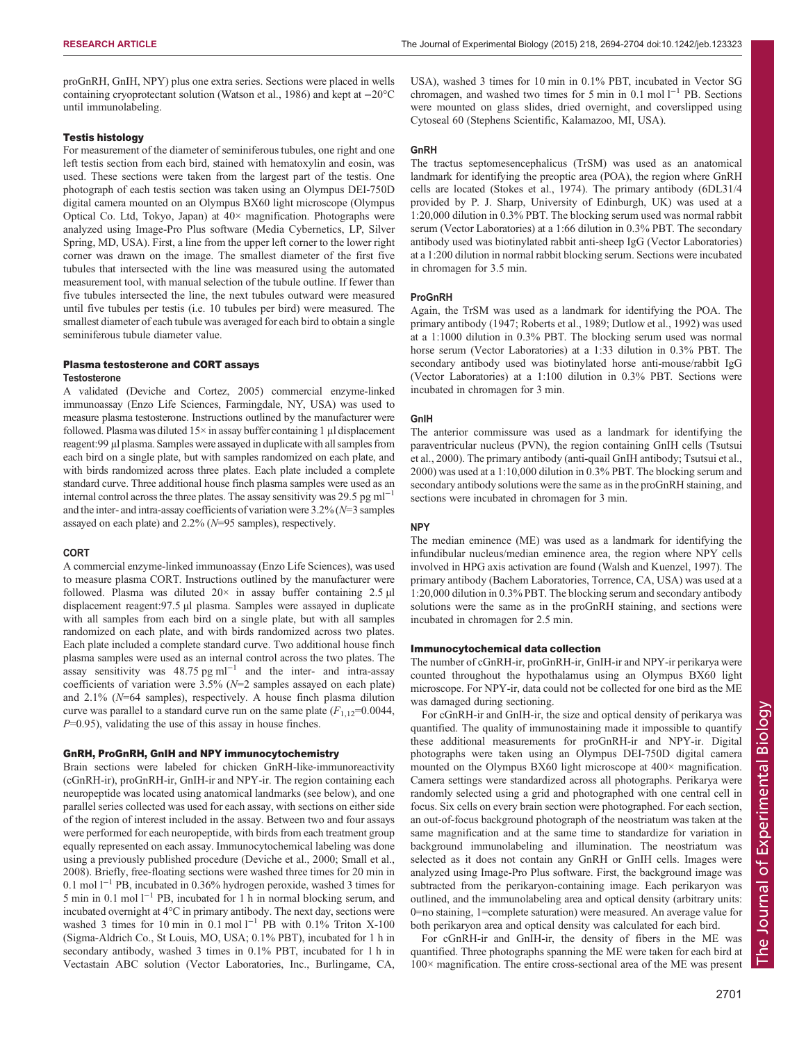proGnRH, GnIH, NPY) plus one extra series. Sections were placed in wells containing cryoprotectant solution [\(Watson et al., 1986](#page-10-0)) and kept at −20°C until immunolabeling.

#### Testis histology

For measurement of the diameter of seminiferous tubules, one right and one left testis section from each bird, stained with hematoxylin and eosin, was used. These sections were taken from the largest part of the testis. One photograph of each testis section was taken using an Olympus DEI-750D digital camera mounted on an Olympus BX60 light microscope (Olympus Optical Co. Ltd, Tokyo, Japan) at 40× magnification. Photographs were analyzed using Image-Pro Plus software (Media Cybernetics, LP, Silver Spring, MD, USA). First, a line from the upper left corner to the lower right corner was drawn on the image. The smallest diameter of the first five tubules that intersected with the line was measured using the automated measurement tool, with manual selection of the tubule outline. If fewer than five tubules intersected the line, the next tubules outward were measured until five tubules per testis (i.e. 10 tubules per bird) were measured. The smallest diameter of each tubule was averaged for each bird to obtain a single seminiferous tubule diameter value.

#### Plasma testosterone and CORT assays **Testosterone**

A validated ([Deviche and Cortez, 2005](#page-8-0)) commercial enzyme-linked immunoassay (Enzo Life Sciences, Farmingdale, NY, USA) was used to measure plasma testosterone. Instructions outlined by the manufacturer were followed. Plasma was diluted  $15\times$  in assay buffer containing 1 µl displacement reagent:99 µl plasma. Samples were assayed in duplicate with all samples from each bird on a single plate, but with samples randomized on each plate, and with birds randomized across three plates. Each plate included a complete standard curve. Three additional house finch plasma samples were used as an internal control across the three plates. The assay sensitivity was 29.5 pg ml<sup>-1</sup> and the inter- and intra-assay coefficients of variation were  $3.2\%$  ( $N=3$  samples assayed on each plate) and 2.2% (N=95 samples), respectively.

#### CORT

A commercial enzyme-linked immunoassay (Enzo Life Sciences), was used to measure plasma CORT. Instructions outlined by the manufacturer were followed. Plasma was diluted  $20 \times$  in assay buffer containing 2.5  $\mu$ l displacement reagent:97.5 µl plasma. Samples were assayed in duplicate with all samples from each bird on a single plate, but with all samples randomized on each plate, and with birds randomized across two plates. Each plate included a complete standard curve. Two additional house finch plasma samples were used as an internal control across the two plates. The assay sensitivity was  $48.75$  pg ml<sup>-1</sup> and the inter- and intra-assay coefficients of variation were  $3.5\%$  ( $N=2$  samples assayed on each plate) and  $2.1\%$  ( $N=64$  samples), respectively. A house finch plasma dilution curve was parallel to a standard curve run on the same plate  $(F_{1,12}=0.0044,$  $P=0.95$ ), validating the use of this assay in house finches.

# GnRH, ProGnRH, GnIH and NPY immunocytochemistry

Brain sections were labeled for chicken GnRH-like-immunoreactivity (cGnRH-ir), proGnRH-ir, GnIH-ir and NPY-ir. The region containing each neuropeptide was located using anatomical landmarks (see below), and one parallel series collected was used for each assay, with sections on either side of the region of interest included in the assay. Between two and four assays were performed for each neuropeptide, with birds from each treatment group equally represented on each assay. Immunocytochemical labeling was done using a previously published procedure [\(Deviche et al., 2000;](#page-8-0) [Small et al.,](#page-9-0) [2008](#page-9-0)). Briefly, free-floating sections were washed three times for 20 min in 0.1 mol l−<sup>1</sup> PB, incubated in 0.36% hydrogen peroxide, washed 3 times for 5 min in 0.1 mol  $l^{-1}$  PB, incubated for 1 h in normal blocking serum, and incubated overnight at 4°C in primary antibody. The next day, sections were washed 3 times for 10 min in 0.1 mol l<sup>-1</sup> PB with 0.1% Triton X-100 (Sigma-Aldrich Co., St Louis, MO, USA; 0.1% PBT), incubated for 1 h in secondary antibody, washed 3 times in 0.1% PBT, incubated for 1 h in Vectastain ABC solution (Vector Laboratories, Inc., Burlingame, CA,

USA), washed 3 times for 10 min in 0.1% PBT, incubated in Vector SG chromagen, and washed two times for 5 min in 0.1 mol  $l^{-1}$  PB. Sections were mounted on glass slides, dried overnight, and coverslipped using Cytoseal 60 (Stephens Scientific, Kalamazoo, MI, USA).

# **GnRH**

The tractus septomesencephalicus (TrSM) was used as an anatomical landmark for identifying the preoptic area (POA), the region where GnRH cells are located [\(Stokes et al., 1974\)](#page-9-0). The primary antibody (6DL31/4 provided by P. J. Sharp, University of Edinburgh, UK) was used at a 1:20,000 dilution in 0.3% PBT. The blocking serum used was normal rabbit serum (Vector Laboratories) at a 1:66 dilution in 0.3% PBT. The secondary antibody used was biotinylated rabbit anti-sheep IgG (Vector Laboratories) at a 1:200 dilution in normal rabbit blocking serum. Sections were incubated in chromagen for 3.5 min.

#### ProGnRH

Again, the TrSM was used as a landmark for identifying the POA. The primary antibody (1947; [Roberts et al., 1989; Dutlow et al., 1992\)](#page-8-0) was used at a 1:1000 dilution in 0.3% PBT. The blocking serum used was normal horse serum (Vector Laboratories) at a 1:33 dilution in 0.3% PBT. The secondary antibody used was biotinylated horse anti-mouse/rabbit IgG (Vector Laboratories) at a 1:100 dilution in 0.3% PBT. Sections were incubated in chromagen for 3 min.

#### GnIH

The anterior commissure was used as a landmark for identifying the paraventricular nucleus (PVN), the region containing GnIH cells [\(Tsutsui](#page-10-0) [et al., 2000](#page-10-0)). The primary antibody (anti-quail GnIH antibody; [Tsutsui et al.,](#page-10-0) [2000\)](#page-10-0) was used at a 1:10,000 dilution in 0.3% PBT. The blocking serum and secondary antibody solutions were the same as in the proGnRH staining, and sections were incubated in chromagen for 3 min.

#### NPY

The median eminence (ME) was used as a landmark for identifying the infundibular nucleus/median eminence area, the region where NPY cells involved in HPG axis activation are found [\(Walsh and Kuenzel, 1997](#page-10-0)). The primary antibody (Bachem Laboratories, Torrence, CA, USA) was used at a 1:20,000 dilution in 0.3% PBT. The blocking serum and secondary antibody solutions were the same as in the proGnRH staining, and sections were incubated in chromagen for 2.5 min.

### Immunocytochemical data collection

The number of cGnRH-ir, proGnRH-ir, GnIH-ir and NPY-ir perikarya were counted throughout the hypothalamus using an Olympus BX60 light microscope. For NPY-ir, data could not be collected for one bird as the ME was damaged during sectioning.

For cGnRH-ir and GnIH-ir, the size and optical density of perikarya was quantified. The quality of immunostaining made it impossible to quantify these additional measurements for proGnRH-ir and NPY-ir. Digital photographs were taken using an Olympus DEI-750D digital camera mounted on the Olympus BX60 light microscope at 400× magnification. Camera settings were standardized across all photographs. Perikarya were randomly selected using a grid and photographed with one central cell in focus. Six cells on every brain section were photographed. For each section, an out-of-focus background photograph of the neostriatum was taken at the same magnification and at the same time to standardize for variation in background immunolabeling and illumination. The neostriatum was selected as it does not contain any GnRH or GnIH cells. Images were analyzed using Image-Pro Plus software. First, the background image was subtracted from the perikaryon-containing image. Each perikaryon was outlined, and the immunolabeling area and optical density (arbitrary units: 0=no staining, 1=complete saturation) were measured. An average value for both perikaryon area and optical density was calculated for each bird.

For cGnRH-ir and GnIH-ir, the density of fibers in the ME was quantified. Three photographs spanning the ME were taken for each bird at 100× magnification. The entire cross-sectional area of the ME was present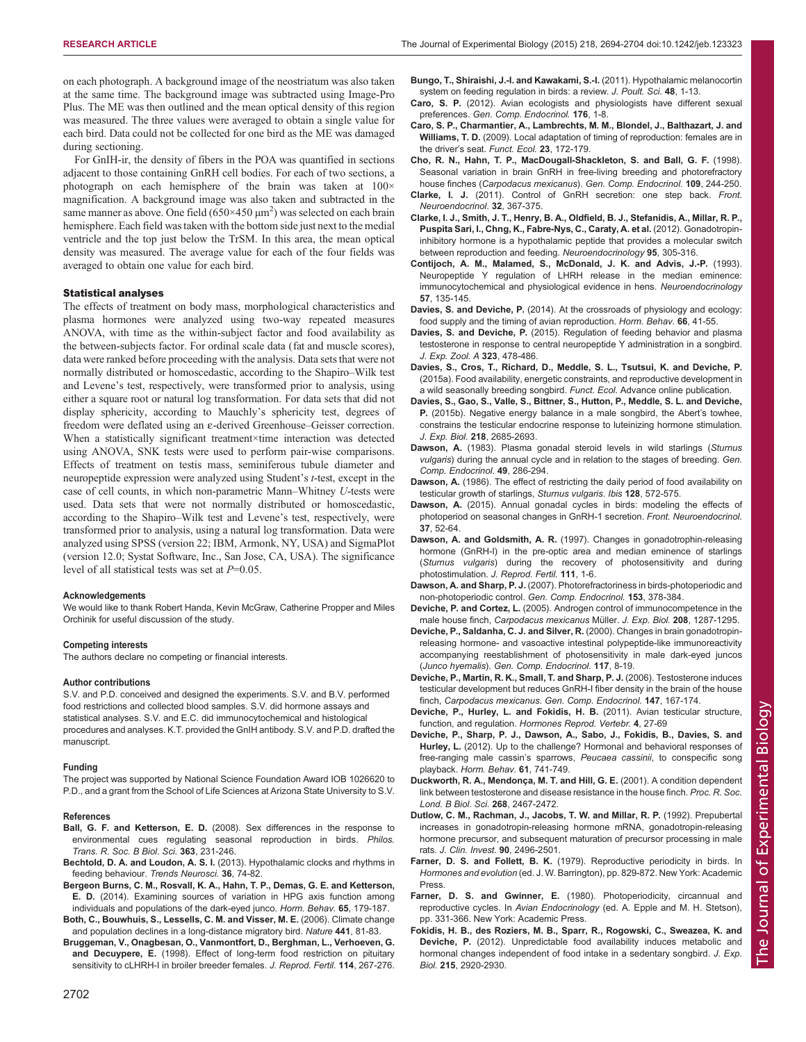<span id="page-8-0"></span>on each photograph. A background image of the neostriatum was also taken at the same time. The background image was subtracted using Image-Pro Plus. The ME was then outlined and the mean optical density of this region was measured. The three values were averaged to obtain a single value for each bird. Data could not be collected for one bird as the ME was damaged during sectioning.

For GnIH-ir, the density of fibers in the POA was quantified in sections adjacent to those containing GnRH cell bodies. For each of two sections, a photograph on each hemisphere of the brain was taken at 100× magnification. A background image was also taken and subtracted in the same manner as above. One field  $(650 \times 450 \mu m^2)$  was selected on each brain hemisphere. Each field was taken with the bottom side just next to the medial ventricle and the top just below the TrSM. In this area, the mean optical density was measured. The average value for each of the four fields was averaged to obtain one value for each bird.

#### Statistical analyses

The effects of treatment on body mass, morphological characteristics and plasma hormones were analyzed using two-way repeated measures ANOVA, with time as the within-subject factor and food availability as the between-subjects factor. For ordinal scale data (fat and muscle scores), data were ranked before proceeding with the analysis. Data sets that were not normally distributed or homoscedastic, according to the Shapiro–Wilk test and Levene's test, respectively, were transformed prior to analysis, using either a square root or natural log transformation. For data sets that did not display sphericity, according to Mauchly's sphericity test, degrees of freedom were deflated using an ε-derived Greenhouse–Geisser correction. When a statistically significant treatment×time interaction was detected using ANOVA, SNK tests were used to perform pair-wise comparisons. Effects of treatment on testis mass, seminiferous tubule diameter and neuropeptide expression were analyzed using Student's t-test, except in the case of cell counts, in which non-parametric Mann–Whitney U-tests were used. Data sets that were not normally distributed or homoscedastic, according to the Shapiro–Wilk test and Levene's test, respectively, were transformed prior to analysis, using a natural log transformation. Data were analyzed using SPSS (version 22; IBM, Armonk, NY, USA) and SigmaPlot (version 12.0; Systat Software, Inc., San Jose, CA, USA). The significance level of all statistical tests was set at  $P=0.05$ .

#### Acknowledgements

We would like to thank Robert Handa, Kevin McGraw, Catherine Propper and Miles Orchinik for useful discussion of the study.

#### Competing interests

The authors declare no competing or financial interests.

#### Author contributions

S.V. and P.D. conceived and designed the experiments. S.V. and B.V. performed food restrictions and collected blood samples. S.V. did hormone assays and statistical analyses. S.V. and E.C. did immunocytochemical and histological procedures and analyses. K.T. provided the GnIH antibody. S.V. and P.D. drafted the manuscript.

#### Funding

The project was supported by National Science Foundation Award IOB 1026620 to P.D., and a grant from the School of Life Sciences at Arizona State University to S.V.

#### References

Ball, G. F. and Ketterson, E. D. [\(2008\). Sex differences in the response to](http://dx.doi.org/10.1098/rstb.2007.2137) [environmental cues regulating seasonal reproduction in birds.](http://dx.doi.org/10.1098/rstb.2007.2137) Philos. [Trans. R. Soc. B Biol. Sci.](http://dx.doi.org/10.1098/rstb.2007.2137) 363, 231-246.

Bechtold, D. A. and Loudon, A. S. I. [\(2013\). Hypothalamic clocks and rhythms in](http://dx.doi.org/10.1016/j.tins.2012.12.007) [feeding behaviour.](http://dx.doi.org/10.1016/j.tins.2012.12.007) Trends Neurosci. 36, 74-82.

[Bergeon Burns, C. M., Rosvall, K. A., Hahn, T. P., Demas, G. E. and Ketterson,](http://dx.doi.org/10.1016/j.yhbeh.2013.10.006) E. D. [\(2014\). Examining sources of variation in HPG axis function among](http://dx.doi.org/10.1016/j.yhbeh.2013.10.006) [individuals and populations of the dark-eyed junco.](http://dx.doi.org/10.1016/j.yhbeh.2013.10.006) Horm. Behav. 65, 179-187.

[Both, C., Bouwhuis, S., Lessells, C. M. and Visser, M. E.](http://dx.doi.org/10.1038/nature04539) (2006). Climate change [and population declines in a long-distance migratory bird.](http://dx.doi.org/10.1038/nature04539) Nature 441, 81-83.

[Bruggeman, V., Onagbesan, O., Vanmontfort, D., Berghman, L., Verhoeven, G.](http://dx.doi.org/10.1530/jrf.0.1140267) and Decuypere, E. [\(1998\). Effect of long-term food restriction on pituitary](http://dx.doi.org/10.1530/jrf.0.1140267) [sensitivity to cLHRH-I in broiler breeder females.](http://dx.doi.org/10.1530/jrf.0.1140267) J. Reprod. Fertil. 114, 267-276.

- [Bungo, T., Shiraishi, J.-I. and Kawakami, S.-I.](http://dx.doi.org/10.2141/jpsa.010117) (2011). Hypothalamic melanocortin [system on feeding regulation in birds: a review.](http://dx.doi.org/10.2141/jpsa.010117) J. Poult. Sci. 48, 1-13.
- Caro, S. P. [\(2012\). Avian ecologists and physiologists have different sexual](http://dx.doi.org/10.1016/j.ygcen.2011.12.021) preferences. [Gen. Comp. Endocrinol.](http://dx.doi.org/10.1016/j.ygcen.2011.12.021) 176, 1-8.
- [Caro, S. P., Charmantier, A., Lambrechts, M. M., Blondel, J., Balthazart, J. and](http://dx.doi.org/10.1111/j.1365-2435.2008.01486.x) Williams, T. D. [\(2009\). Local adaptation of timing of reproduction: females are in](http://dx.doi.org/10.1111/j.1365-2435.2008.01486.x) the driver's seat. [Funct. Ecol.](http://dx.doi.org/10.1111/j.1365-2435.2008.01486.x) 23, 172-179.
- [Cho, R. N., Hahn, T. P., MacDougall-Shackleton, S. and Ball, G. F.](http://dx.doi.org/10.1006/gcen.1997.7027) (1998). [Seasonal variation in brain GnRH in free-living breeding and photorefractory](http://dx.doi.org/10.1006/gcen.1997.7027) house finches (Carpodacus mexicanus). [Gen. Comp. Endocrinol.](http://dx.doi.org/10.1006/gcen.1997.7027) 109, 244-250.
- Clarke, I. J. [\(2011\). Control of GnRH secretion: one step back.](http://dx.doi.org/10.1016/j.yfrne.2011.01.001) Front. [Neuroendocrinol.](http://dx.doi.org/10.1016/j.yfrne.2011.01.001) 32, 367-375.
- [Clarke, I. J., Smith, J. T., Henry, B. A., Oldfield, B. J., Stefanidis, A., Millar, R. P.,](http://dx.doi.org/10.1159/000332822) [Puspita Sari, I., Chng, K., Fabre-Nys, C., Caraty, A. et al.](http://dx.doi.org/10.1159/000332822) (2012). Gonadotropin[inhibitory hormone is a hypothalamic peptide that provides a molecular switch](http://dx.doi.org/10.1159/000332822) [between reproduction and feeding.](http://dx.doi.org/10.1159/000332822) Neuroendocrinology 95, 305-316.
- [Contijoch, A. M., Malamed, S., McDonald, J. K. and Advis, J.-P.](http://dx.doi.org/10.1159/000126353) (1993). [Neuropeptide Y regulation of LHRH release in the median eminence:](http://dx.doi.org/10.1159/000126353) [immunocytochemical and physiological evidence in hens.](http://dx.doi.org/10.1159/000126353) Neuroendocrinology 57[, 135-145.](http://dx.doi.org/10.1159/000126353)
- Davies, S. and Deviche, P. [\(2014\). At the crossroads of physiology and ecology:](http://dx.doi.org/10.1016/j.yhbeh.2014.04.003) [food supply and the timing of avian reproduction.](http://dx.doi.org/10.1016/j.yhbeh.2014.04.003) Horm. Behav. 66, 41-55.
- Davies, S. and Deviche, P. [\(2015\). Regulation of feeding behavior and plasma](http://dx.doi.org/10.1002/jez.1943) [testosterone in response to central neuropeptide Y administration in a songbird.](http://dx.doi.org/10.1002/jez.1943) [J. Exp. Zool. A](http://dx.doi.org/10.1002/jez.1943) 323, 478-486.
- [Davies, S., Cros, T., Richard, D., Meddle, S. L., Tsutsui, K. and Deviche, P.](http://dx.doi.org/10.1111/1365-2435.12448) [\(2015a\). Food availability, energetic constraints, and reproductive development in](http://dx.doi.org/10.1111/1365-2435.12448) [a wild seasonally breeding songbird.](http://dx.doi.org/10.1111/1365-2435.12448) Funct. Ecol. Advance online publication.
- Davies, S., Gao, S., Valle, S., Bittner, S., Hutton, P., Meddle, S. L. and Deviche, P. (2015b). Negative energy balance in a male songbird, the Abert's towhee, constrains the testicular endocrine response to luteinizing hormone stimulation. J. Exp. Biol. 218, 2685-2693.
- Dawson, A. [\(1983\). Plasma gonadal steroid levels in wild starlings \(](http://dx.doi.org/10.1016/0016-6480(83)90146-6)Sturnus vulgaris[\) during the annual cycle and in relation to the stages of breeding.](http://dx.doi.org/10.1016/0016-6480(83)90146-6) Gen. [Comp. Endocrinol.](http://dx.doi.org/10.1016/0016-6480(83)90146-6) 49, 286-294.
- Dawson, A. [\(1986\). The effect of restricting the daily period of food availability on](http://dx.doi.org/10.1111/j.1474-919X.1986.tb02709.x) [testicular growth of starlings,](http://dx.doi.org/10.1111/j.1474-919X.1986.tb02709.x) Sturnus vulgaris. Ibis 128, 572-575.
- Dawson, A. [\(2015\). Annual gonadal cycles in birds: modeling the effects of](http://dx.doi.org/10.1016/j.yfrne.2014.08.004) [photoperiod on seasonal changes in GnRH-1 secretion.](http://dx.doi.org/10.1016/j.yfrne.2014.08.004) Front. Neuroendocrinol. 37[, 52-64.](http://dx.doi.org/10.1016/j.yfrne.2014.08.004)
- Dawson, A. and Goldsmith, A. R. [\(1997\). Changes in gonadotrophin-releasing](http://dx.doi.org/10.1530/jrf.0.1110001) [hormone \(GnRH-I\) in the pre-optic area and median eminence of starlings](http://dx.doi.org/10.1530/jrf.0.1110001) (Sturnus vulgaris[\) during the recovery of photosensitivity and during](http://dx.doi.org/10.1530/jrf.0.1110001) [photostimulation.](http://dx.doi.org/10.1530/jrf.0.1110001) J. Reprod. Fertil. 111, 1-6.
- Dawson, A. and Sharp, P. J. [\(2007\). Photorefractoriness in birds-photoperiodic and](http://dx.doi.org/10.1016/j.ygcen.2007.01.043) [non-photoperiodic control.](http://dx.doi.org/10.1016/j.ygcen.2007.01.043) Gen. Comp. Endocrinol. 153, 378-384.
- Deviche, P. and Cortez, L. [\(2005\). Androgen control of immunocompetence in the](http://dx.doi.org/10.1242/jeb.01531) male house finch, [Carpodacus mexicanus](http://dx.doi.org/10.1242/jeb.01531) Müller. J. Exp. Biol. 208, 1287-1295.
- [Deviche, P., Saldanha, C. J. and Silver, R.](http://dx.doi.org/10.1006/gcen.1999.7361) (2000). Changes in brain gonadotropin[releasing hormone- and vasoactive intestinal polypeptide-like immunoreactivity](http://dx.doi.org/10.1006/gcen.1999.7361) [accompanying reestablishment of photosensitivity in male dark-eyed juncos](http://dx.doi.org/10.1006/gcen.1999.7361) (Junco hyemalis). [Gen. Comp. Endocrinol.](http://dx.doi.org/10.1006/gcen.1999.7361) 117, 8-19.
- [Deviche, P., Martin, R. K., Small, T. and Sharp, P. J.](http://dx.doi.org/10.1016/j.ygcen.2005.12.024) (2006). Testosterone induces [testicular development but reduces GnRH-I fiber density in the brain of the house](http://dx.doi.org/10.1016/j.ygcen.2005.12.024) finch, Carpodacus mexicanus. [Gen. Comp. Endocrinol.](http://dx.doi.org/10.1016/j.ygcen.2005.12.024) 147, 167-174.
- Deviche, P., Hurley, L. and Fokidis, H. B. (2011). Avian testicular structure, function, and regulation. Hormones Reprod. Vertebr. 4, 27-69
- [Deviche, P., Sharp, P. J., Dawson, A., Sabo, J., Fokidis, B., Davies, S. and](http://dx.doi.org/10.1016/j.yhbeh.2012.03.012) Hurley, L. [\(2012\). Up to the challenge? Hormonal and behavioral responses of](http://dx.doi.org/10.1016/j.yhbeh.2012.03.012) [free-ranging male cassin](http://dx.doi.org/10.1016/j.yhbeh.2012.03.012)'s sparrows, Peucaea cassinii, to conspecific song playback. [Horm. Behav.](http://dx.doi.org/10.1016/j.yhbeh.2012.03.012) 61, 741-749.
- [Duckworth, R. A., Mendonça, M. T. and Hill, G. E.](http://dx.doi.org/10.1098/rspb.2001.1827) (2001). A condition dependent [link between testosterone and disease resistance in the house finch.](http://dx.doi.org/10.1098/rspb.2001.1827) Proc. R. Soc. [Lond. B Biol. Sci.](http://dx.doi.org/10.1098/rspb.2001.1827) 268, 2467-2472.
- [Dutlow, C. M., Rachman, J., Jacobs, T. W. and Millar, R. P.](http://dx.doi.org/10.1172/JCI116142) (1992). Prepubertal [increases in gonadotropin-releasing hormone mRNA, gonadotropin-releasing](http://dx.doi.org/10.1172/JCI116142) [hormone precursor, and subsequent maturation of precursor processing in male](http://dx.doi.org/10.1172/JCI116142) rats. [J. Clin. Invest.](http://dx.doi.org/10.1172/JCI116142) 90, 2496-2501.
- Farner, D. S. and Follett, B. K. (1979). Reproductive periodicity in birds. In Hormones and evolution (ed. J. W. Barrington), pp. 829-872. New York: Academic Press.
- Farner, D. S. and Gwinner, E. (1980). Photoperiodicity, circannual and reproductive cycles. In Avian Endocrinology (ed. A. Epple and M. H. Stetson), pp. 331-366. New York: Academic Press.
- [Fokidis, H. B., des Roziers, M. B., Sparr, R., Rogowski, C., Sweazea, K. and](http://dx.doi.org/10.1242/jeb.071043) Deviche, P. [\(2012\). Unpredictable food availability induces metabolic and](http://dx.doi.org/10.1242/jeb.071043) [hormonal changes independent of food intake in a sedentary songbird.](http://dx.doi.org/10.1242/jeb.071043) J. Exp. Biol. 215[, 2920-2930.](http://dx.doi.org/10.1242/jeb.071043)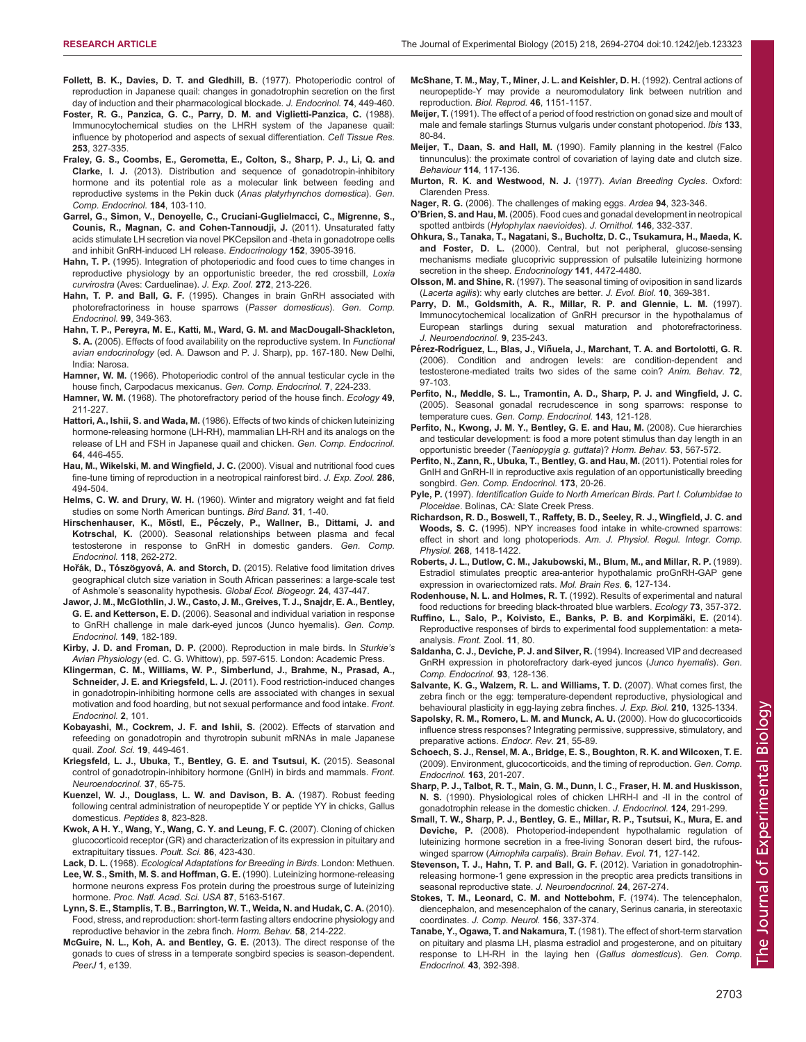- <span id="page-9-0"></span>[Follett, B. K., Davies, D. T. and Gledhill, B.](http://dx.doi.org/10.1677/joe.0.0740449) (1977). Photoperiodic control of [reproduction in Japanese quail: changes in gonadotrophin secretion on the first](http://dx.doi.org/10.1677/joe.0.0740449) [day of induction and their pharmacological blockade.](http://dx.doi.org/10.1677/joe.0.0740449) J. Endocrinol. 74, 449-460.
- [Foster, R. G., Panzica, G. C., Parry, D. M. and Viglietti-Panzica, C.](http://dx.doi.org/10.1007/BF00222289) (1988). [Immunocytochemical studies on the LHRH system of the Japanese quail:](http://dx.doi.org/10.1007/BF00222289) [influence by photoperiod and aspects of sexual differentiation.](http://dx.doi.org/10.1007/BF00222289) Cell Tissue Res. 253[, 327-335.](http://dx.doi.org/10.1007/BF00222289)
- [Fraley, G. S., Coombs, E., Gerometta, E., Colton, S., Sharp, P. J., Li, Q. and](http://dx.doi.org/10.1016/j.ygcen.2012.11.026) Clarke, I. J. [\(2013\). Distribution and sequence of gonadotropin-inhibitory](http://dx.doi.org/10.1016/j.ygcen.2012.11.026) [hormone and its potential role as a molecular link between feeding and](http://dx.doi.org/10.1016/j.ygcen.2012.11.026) [reproductive systems in the Pekin duck \(](http://dx.doi.org/10.1016/j.ygcen.2012.11.026)Anas platyrhynchos domestica). Gen. [Comp. Endocrinol.](http://dx.doi.org/10.1016/j.ygcen.2012.11.026) 184, 103-110.
- [Garrel, G., Simon, V., Denoyelle, C., Cruciani-Guglielmacci, C., Migrenne, S.,](http://dx.doi.org/10.1210/en.2011-1167) [Counis, R., Magnan, C. and Cohen-Tannoudji, J.](http://dx.doi.org/10.1210/en.2011-1167) (2011). Unsaturated fatty [acids stimulate LH secretion via novel PKCepsilon and -theta in gonadotrope cells](http://dx.doi.org/10.1210/en.2011-1167) [and inhibit GnRH-induced LH release.](http://dx.doi.org/10.1210/en.2011-1167) Endocrinology 152, 3905-3916.
- Hahn, T. P. [\(1995\). Integration of photoperiodic and food cues to time changes in](http://dx.doi.org/10.1002/jez.1402720306) [reproductive physiology by an opportunistic breeder, the red crossbill,](http://dx.doi.org/10.1002/jez.1402720306) Loxia curvirostra [\(Aves: Carduelinae\).](http://dx.doi.org/10.1002/jez.1402720306) J. Exp. Zool. 272, 213-226.
- Hahn, T. P. and Ball, G. F. [\(1995\). Changes in brain GnRH associated with](http://dx.doi.org/10.1006/gcen.1995.1119) [photorefractoriness in house sparrows \(](http://dx.doi.org/10.1006/gcen.1995.1119)Passer domesticus). Gen. Comp. [Endocrinol.](http://dx.doi.org/10.1006/gcen.1995.1119) 99, 349-363.
- Hahn, T. P., Pereyra, M. E., Katti, M., Ward, G. M. and MacDougall-Shackleton, S. A. (2005). Effects of food availability on the reproductive system. In Functional avian endocrinology (ed. A. Dawson and P. J. Sharp), pp. 167-180. New Delhi, India: Narosa.
- Hamner, W. M. [\(1966\). Photoperiodic control of the annual testicular cycle in the](http://dx.doi.org/10.1016/0016-6480(66)90043-8) [house finch, Carpodacus mexicanus.](http://dx.doi.org/10.1016/0016-6480(66)90043-8) Gen. Comp. Endocrinol. 7, 224-233.
- Hamner, W. M. [\(1968\). The photorefractory period of the house finch.](http://dx.doi.org/10.2307/1934450) Ecology 49, [211-227.](http://dx.doi.org/10.2307/1934450)
- Hattori, A., Ishii, S. and Wada, M. [\(1986\). Effects of two kinds of chicken luteinizing](http://dx.doi.org/10.1016/0016-6480(86)90082-1) [hormone-releasing hormone \(LH-RH\), mammalian LH-RH and its analogs on the](http://dx.doi.org/10.1016/0016-6480(86)90082-1) [release of LH and FSH in Japanese quail and chicken.](http://dx.doi.org/10.1016/0016-6480(86)90082-1) Gen. Comp. Endocrinol. 64[, 446-455.](http://dx.doi.org/10.1016/0016-6480(86)90082-1)
- [Hau, M., Wikelski, M. and Wingfield, J. C.](http://dx.doi.org/10.1002/(SICI)1097-010X(20000401)286:5<494::AID-JEZ7>3.0.CO;2-3) (2000). Visual and nutritional food cues [fine-tune timing of reproduction in a neotropical rainforest bird.](http://dx.doi.org/10.1002/(SICI)1097-010X(20000401)286:5<494::AID-JEZ7>3.0.CO;2-3) J. Exp. Zool. 286, [494-504.](http://dx.doi.org/10.1002/(SICI)1097-010X(20000401)286:5<494::AID-JEZ7>3.0.CO;2-3)
- Helms, C. W. and Drury, W. H. [\(1960\). Winter and migratory weight and fat field](http://dx.doi.org/10.2307/4510793) [studies on some North American buntings.](http://dx.doi.org/10.2307/4510793) Bird Band. 31, 1-40.
- Hirschenhauser, K., Möstl, E., Pé[czely, P., Wallner, B., Dittami, J. and](http://dx.doi.org/10.1006/gcen.2000.7463) Kotrschal, K. [\(2000\). Seasonal relationships between plasma and fecal](http://dx.doi.org/10.1006/gcen.2000.7463) [testosterone in response to GnRH in domestic ganders.](http://dx.doi.org/10.1006/gcen.2000.7463) Gen. Comp. [Endocrinol.](http://dx.doi.org/10.1006/gcen.2000.7463) 118, 262-272.
- Hořák, D., Tószögyová, A. and Storch, D. [\(2015\). Relative food limitation drives](http://dx.doi.org/10.1111/geb.12261) [geographical clutch size variation in South African passerines: a large-scale test](http://dx.doi.org/10.1111/geb.12261) of Ashmole'[s seasonality hypothesis.](http://dx.doi.org/10.1111/geb.12261) Global Ecol. Biogeogr. 24, 437-447.
- [Jawor, J. M., McGlothlin, J. W., Casto, J. M., Greives, T. J., Snajdr, E. A., Bentley,](http://dx.doi.org/10.1016/j.ygcen.2006.05.013) G. E. and Ketterson, E. D. [\(2006\). Seasonal and individual variation in response](http://dx.doi.org/10.1016/j.ygcen.2006.05.013) [to GnRH challenge in male dark-eyed juncos \(Junco hyemalis\).](http://dx.doi.org/10.1016/j.ygcen.2006.05.013) Gen. Comp. [Endocrinol.](http://dx.doi.org/10.1016/j.ygcen.2006.05.013) 149, 182-189.
- Kirby, J. D. and Froman, D. P. (2000). Reproduction in male birds. In Sturkie's Avian Physiology (ed. C. G. Whittow), pp. 597-615. London: Academic Press.
- [Klingerman, C. M., Williams, W. P., Simberlund, J., Brahme, N., Prasad, A.,](http://dx.doi.org/10.3389/fendo.2011.00101) Schneider, J. E. and Kriegsfeld, L. J. [\(2011\). Food restriction-induced changes](http://dx.doi.org/10.3389/fendo.2011.00101) [in gonadotropin-inhibiting hormone cells are associated with changes in sexual](http://dx.doi.org/10.3389/fendo.2011.00101) [motivation and food hoarding, but not sexual performance and food intake.](http://dx.doi.org/10.3389/fendo.2011.00101) Front. [Endocrinol.](http://dx.doi.org/10.3389/fendo.2011.00101) 2, 101.
- [Kobayashi, M., Cockrem, J. F. and Ishii, S.](http://dx.doi.org/10.2108/zsj.19.449) (2002). Effects of starvation and [refeeding on gonadotropin and thyrotropin subunit mRNAs in male Japanese](http://dx.doi.org/10.2108/zsj.19.449) quail. Zool. Sci. 19[, 449-461.](http://dx.doi.org/10.2108/zsj.19.449)
- [Kriegsfeld, L. J., Ubuka, T., Bentley, G. E. and Tsutsui, K.](http://dx.doi.org/10.1016/j.yfrne.2014.12.001) (2015). Seasonal [control of gonadotropin-inhibitory hormone \(GnIH\) in birds and mammals.](http://dx.doi.org/10.1016/j.yfrne.2014.12.001) Front. [Neuroendocrinol.](http://dx.doi.org/10.1016/j.yfrne.2014.12.001) 37, 65-75.
- [Kuenzel, W. J., Douglass, L. W. and Davison, B. A.](http://dx.doi.org/10.1016/0196-9781(87)90066-0) (1987). Robust feeding [following central administration of neuropeptide Y or peptide YY in chicks, Gallus](http://dx.doi.org/10.1016/0196-9781(87)90066-0) [domesticus.](http://dx.doi.org/10.1016/0196-9781(87)90066-0) Peptides 8, 823-828.
- [Kwok, A H. Y., Wang, Y., Wang, C. Y. and Leung, F. C.](http://dx.doi.org/10.1093/ps/86.2.423) (2007). Cloning of chicken [glucocorticoid receptor \(GR\) and characterization of its expression in pituitary and](http://dx.doi.org/10.1093/ps/86.2.423) [extrapituitary tissues.](http://dx.doi.org/10.1093/ps/86.2.423) Poult. Sci. 86, 423-430.
- Lack, D. L. (1968). Ecological Adaptations for Breeding in Birds. London: Methuen. [Lee, W. S., Smith, M. S. and Hoffman, G. E.](http://dx.doi.org/10.1073/pnas.87.13.5163) (1990). Luteinizing hormone-releasing
- [hormone neurons express Fos protein during the proestrous surge of luteinizing](http://dx.doi.org/10.1073/pnas.87.13.5163) hormone. [Proc. Natl. Acad. Sci. USA](http://dx.doi.org/10.1073/pnas.87.13.5163) 87, 5163-5167. [Lynn, S. E., Stamplis, T. B., Barrington, W. T., Weida, N. and Hudak, C. A.](http://dx.doi.org/10.1016/j.yhbeh.2010.03.015) (2010).
- [Food, stress, and reproduction: short-term fasting alters endocrine physiology and](http://dx.doi.org/10.1016/j.yhbeh.2010.03.015) [reproductive behavior in the zebra finch.](http://dx.doi.org/10.1016/j.yhbeh.2010.03.015) Horm. Behav. 58, 214-222.
- [McGuire, N. L., Koh, A. and Bentley, G. E.](http://dx.doi.org/10.7717/peerj.139) (2013). The direct response of the [gonads to cues of stress in a temperate songbird species is season-dependent.](http://dx.doi.org/10.7717/peerj.139) PeerJ 1[, e139.](http://dx.doi.org/10.7717/peerj.139)
- [McShane, T. M., May, T., Miner, J. L. and Keishler, D. H.](http://dx.doi.org/10.1095/biolreprod46.6.1151) (1992). Central actions of [neuropeptide-Y may provide a neuromodulatory link between nutrition and](http://dx.doi.org/10.1095/biolreprod46.6.1151) [reproduction.](http://dx.doi.org/10.1095/biolreprod46.6.1151) Biol. Reprod. 46, 1151-1157.
- Meijer, T. [\(1991\). The effect of a period of food restriction on gonad size and moult of](http://dx.doi.org/10.1111/j.1474-919X.1991.tb04814.x) [male and female starlings Sturnus vulgaris under constant photoperiod.](http://dx.doi.org/10.1111/j.1474-919X.1991.tb04814.x) Ibis 133, [80-84.](http://dx.doi.org/10.1111/j.1474-919X.1991.tb04814.x)
- Meijer, T., Daan, S. and Hall, M. [\(1990\). Family planning in the kestrel \(Falco](http://dx.doi.org/10.1163/156853990X00077) [tinnunculus\): the proximate control of covariation of laying date and clutch size.](http://dx.doi.org/10.1163/156853990X00077) Behaviour 114[, 117-136.](http://dx.doi.org/10.1163/156853990X00077)
- Murton, R. K. and Westwood, N. J. (1977). Avian Breeding Cycles. Oxford: Clarenden Press.
- Nager, R. G. (2006). The challenges of making eggs. Ardea 94, 323-346.
- O'Brien, S. and Hau, M. [\(2005\). Food cues and gonadal development in neotropical](http://dx.doi.org/10.1007/s10336-005-0013-9) spotted antbirds ([Hylophylax naevioides](http://dx.doi.org/10.1007/s10336-005-0013-9)). J. Ornithol. 146, 332-337.
- Ohkura, S., Tanaka, T., Nagatani, S., Bucholtz, D. C., Tsukamura, H., Maeda, K. and Foster, D. L. (2000). Central, but not peripheral, glucose-sensing mechanisms mediate glucoprivic suppression of pulsatile luteinizing hormone secretion in the sheep. Endocrinology 141, 4472-4480.
- Olsson, M. and Shine, R. [\(1997\). The seasonal timing of oviposition in sand lizards](http://dx.doi.org/10.1007/s000360050030) (Lacerta agilis[\): why early clutches are better.](http://dx.doi.org/10.1007/s000360050030) J. Evol. Biol. 10, 369-381.
- [Parry, D. M., Goldsmith, A. R., Millar, R. P. and Glennie, L. M.](http://dx.doi.org/10.1046/j.1365-2826.1997.00575.x) (1997). [Immunocytochemical localization of GnRH precursor in the hypothalamus of](http://dx.doi.org/10.1046/j.1365-2826.1997.00575.x) [European starlings during sexual maturation and photorefractoriness.](http://dx.doi.org/10.1046/j.1365-2826.1997.00575.x) [J. Neuroendocrinol.](http://dx.doi.org/10.1046/j.1365-2826.1997.00575.x) 9, 235-243.
- Pérez-Rodríguez, L., Blas, J., Viñ[uela, J., Marchant, T. A. and Bortolotti, G. R.](http://dx.doi.org/10.1016/j.anbehav.2005.09.021) [\(2006\). Condition and androgen levels: are condition-dependent and](http://dx.doi.org/10.1016/j.anbehav.2005.09.021) [testosterone-mediated traits two sides of the same coin?](http://dx.doi.org/10.1016/j.anbehav.2005.09.021) Anim. Behav. 72, [97-103.](http://dx.doi.org/10.1016/j.anbehav.2005.09.021)
- [Perfito, N., Meddle, S. L., Tramontin, A. D., Sharp, P. J. and Wingfield, J. C.](http://dx.doi.org/10.1016/j.ygcen.2005.03.004) [\(2005\). Seasonal gonadal recrudescence in song sparrows: response to](http://dx.doi.org/10.1016/j.ygcen.2005.03.004) temperature cues. [Gen. Comp. Endocrinol.](http://dx.doi.org/10.1016/j.ygcen.2005.03.004) 143, 121-128.
- [Perfito, N., Kwong, J. M. Y., Bentley, G. E. and Hau, M.](http://dx.doi.org/10.1016/j.yhbeh.2008.01.002) (2008). Cue hierarchies [and testicular development: is food a more potent stimulus than day length in an](http://dx.doi.org/10.1016/j.yhbeh.2008.01.002) [opportunistic breeder \(](http://dx.doi.org/10.1016/j.yhbeh.2008.01.002)Taeniopygia g. guttata)? Horm. Behav. 53, 567-572.
- [Perfito, N., Zann, R., Ubuka, T., Bentley, G. and Hau, M.](http://dx.doi.org/10.1016/j.ygcen.2011.04.016) (2011). Potential roles for [GnIH and GnRH-II in reproductive axis regulation of an opportunistically breeding](http://dx.doi.org/10.1016/j.ygcen.2011.04.016) songbird. [Gen. Comp. Endocrinol.](http://dx.doi.org/10.1016/j.ygcen.2011.04.016) 173, 20-26.
- Pyle, P. (1997). Identification Guide to North American Birds. Part I. Columbidae to Ploceidae. Bolinas, CA: Slate Creek Press.
- Richardson, R. D., Boswell, T., Raffety, B. D., Seeley, R. J., Wingfield, J. C. and Woods, S. C. (1995). NPY increases food intake in white-crowned sparrows: effect in short and long photoperiods. Am. J. Physiol. Regul. Integr. Comp. Physiol. 268, 1418-1422.
- [Roberts, J. L., Dutlow, C. M., Jakubowski, M., Blum, M., and Millar, R. P.](http://dx.doi.org/10.1016/0169-328X(89)90046-6) (1989). [Estradiol stimulates preoptic area-anterior hypothalamic proGnRH-GAP gene](http://dx.doi.org/10.1016/0169-328X(89)90046-6) [expression in ovariectomized rats.](http://dx.doi.org/10.1016/0169-328X(89)90046-6) Mol. Brain Res. 6, 127-134.
- Rodenhouse, N. L. and Holmes, R. T. [\(1992\). Results of experimental and natural](http://dx.doi.org/10.2307/1938747) [food reductions for breeding black-throated blue warblers.](http://dx.doi.org/10.2307/1938747) Ecology 73, 357-372.
- Ruffino, L., Salo, P., Koivisto, E., Banks, P. B. and Korpimäki, E. (2014). [Reproductive responses of birds to experimental food supplementation: a meta](http://dx.doi.org/10.1186/s12983-014-0080-y)[analysis.](http://dx.doi.org/10.1186/s12983-014-0080-y) Front. Zool. 11, 80.
- [Saldanha, C. J., Deviche, P. J. and Silver, R.](http://dx.doi.org/10.1006/gcen.1994.1015) (1994). Increased VIP and decreased [GnRH expression in photorefractory dark-eyed juncos \(](http://dx.doi.org/10.1006/gcen.1994.1015)Junco hyemalis). Gen. [Comp. Endocrinol.](http://dx.doi.org/10.1006/gcen.1994.1015) 93, 128-136.
- [Salvante, K. G., Walzem, R. L. and Williams, T. D.](http://dx.doi.org/10.1242/jeb.02745) (2007). What comes first, the [zebra finch or the egg: temperature-dependent reproductive, physiological and](http://dx.doi.org/10.1242/jeb.02745) [behavioural plasticity in egg-laying zebra finches.](http://dx.doi.org/10.1242/jeb.02745) J. Exp. Biol. 210, 1325-1334.
- [Sapolsky, R. M., Romero, L. M. and Munck, A. U.](http://dx.doi.org/10.1210/er.21.1.55) (2000). How do glucocorticoids [influence stress responses? Integrating permissive, suppressive, stimulatory, and](http://dx.doi.org/10.1210/er.21.1.55) [preparative actions.](http://dx.doi.org/10.1210/er.21.1.55) Endocr. Rev. 21, 55-89.
- [Schoech, S. J., Rensel, M. A., Bridge, E. S., Boughton, R. K. and Wilcoxen, T. E.](http://dx.doi.org/10.1016/j.ygcen.2008.09.009) [\(2009\). Environment, glucocorticoids, and the timing of reproduction.](http://dx.doi.org/10.1016/j.ygcen.2008.09.009) Gen. Comp. [Endocrinol.](http://dx.doi.org/10.1016/j.ygcen.2008.09.009) 163, 201-207.
- [Sharp, P. J., Talbot, R. T., Main, G. M., Dunn, I. C., Fraser, H. M. and Huskisson,](http://dx.doi.org/10.1677/joe.0.1240291) N. S. [\(1990\). Physiological roles of chicken LHRH-I and -II in the control of](http://dx.doi.org/10.1677/joe.0.1240291) [gonadotrophin release in the domestic chicken.](http://dx.doi.org/10.1677/joe.0.1240291) J. Endocrinol. 124, 291-299.
- [Small, T. W., Sharp, P. J., Bentley, G. E., Millar, R. P., Tsutsui, K., Mura, E. and](http://dx.doi.org/10.1159/000111459) Deviche, P. [\(2008\). Photoperiod-independent hypothalamic regulation of](http://dx.doi.org/10.1159/000111459) [luteinizing hormone secretion in a free-living Sonoran desert bird, the rufous-](http://dx.doi.org/10.1159/000111459)winged sparrow (Aimophila carpalis). [Brain Behav. Evol.](http://dx.doi.org/10.1159/000111459) 71, 127-142.
- [Stevenson, T. J., Hahn, T. P. and Ball, G. F.](http://dx.doi.org/10.1111/j.1365-2826.2011.02245.x) (2012). Variation in gonadotrophin[releasing hormone-1 gene expression in the preoptic area predicts transitions in](http://dx.doi.org/10.1111/j.1365-2826.2011.02245.x) [seasonal reproductive state.](http://dx.doi.org/10.1111/j.1365-2826.2011.02245.x) J. Neuroendocrinol. 24, 267-274.
- [Stokes, T. M., Leonard, C. M. and Nottebohm, F.](http://dx.doi.org/10.1002/cne.901560305) (1974). The telencephalon, [diencephalon, and mesencephalon of the canary, Serinus canaria, in stereotaxic](http://dx.doi.org/10.1002/cne.901560305) coordinates. [J. Comp. Neurol.](http://dx.doi.org/10.1002/cne.901560305) 156, 337-374.
- [Tanabe, Y., Ogawa, T. and Nakamura, T.](http://dx.doi.org/10.1016/0016-6480(81)90299-9) (1981). The effect of short-term starvation [on pituitary and plasma LH, plasma estradiol and progesterone, and on pituitary](http://dx.doi.org/10.1016/0016-6480(81)90299-9) [response to LH-RH in the laying hen \(](http://dx.doi.org/10.1016/0016-6480(81)90299-9)Gallus domesticus). Gen. Comp. [Endocrinol.](http://dx.doi.org/10.1016/0016-6480(81)90299-9) 43, 392-398.